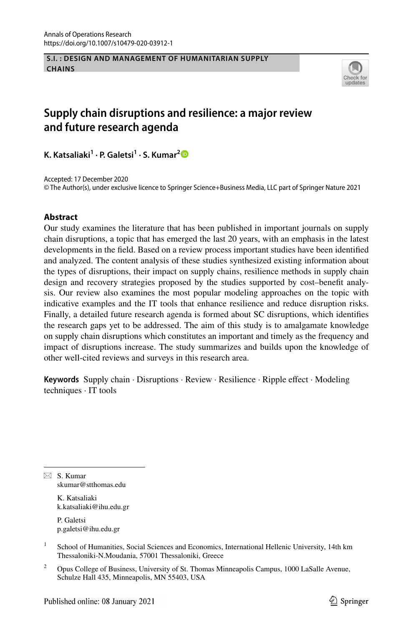#### **S.I. : DESIGN AND MANAGEMENT OF HUMANITARIAN SUPPLY CHAINS**



# **Supply chain disruptions and resilience: a major review and future research agenda**

**K. Katsaliaki1 · P. Galetsi1 · S. Kumar[2](http://orcid.org/0000-0003-4592-9502)**

Accepted: 17 December 2020 © The Author(s), under exclusive licence to Springer Science+Business Media, LLC part of Springer Nature 2021

### **Abstract**

Our study examines the literature that has been published in important journals on supply chain disruptions, a topic that has emerged the last 20 years, with an emphasis in the latest developments in the feld. Based on a review process important studies have been identifed and analyzed. The content analysis of these studies synthesized existing information about the types of disruptions, their impact on supply chains, resilience methods in supply chain design and recovery strategies proposed by the studies supported by cost–beneft analysis. Our review also examines the most popular modeling approaches on the topic with indicative examples and the IT tools that enhance resilience and reduce disruption risks. Finally, a detailed future research agenda is formed about SC disruptions, which identifes the research gaps yet to be addressed. The aim of this study is to amalgamate knowledge on supply chain disruptions which constitutes an important and timely as the frequency and impact of disruptions increase. The study summarizes and builds upon the knowledge of other well-cited reviews and surveys in this research area.

**Keywords** Supply chain · Disruptions · Review · Resilience · Ripple effect · Modeling techniques · IT tools

 $\boxtimes$  S. Kumar skumar@stthomas.edu

> K. Katsaliaki k.katsaliaki@ihu.edu.gr

P. Galetsi p.galetsi@ihu.edu.gr

<sup>&</sup>lt;sup>1</sup> School of Humanities, Social Sciences and Economics, International Hellenic University, 14th km Thessaloniki-N.Moudania, 57001 Thessaloniki, Greece

<sup>&</sup>lt;sup>2</sup> Opus College of Business, University of St. Thomas Minneapolis Campus, 1000 LaSalle Avenue, Schulze Hall 435, Minneapolis, MN 55403, USA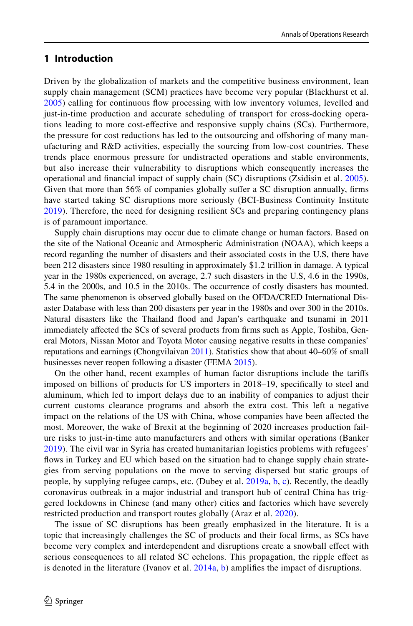### **1 Introduction**

Driven by the globalization of markets and the competitive business environment, lean supply chain management (SCM) practices have become very popular (Blackhurst et al. [2005](#page-31-0)) calling for continuous fow processing with low inventory volumes, levelled and just-in-time production and accurate scheduling of transport for cross-docking operations leading to more cost-efective and responsive supply chains (SCs). Furthermore, the pressure for cost reductions has led to the outsourcing and ofshoring of many manufacturing and R&D activities, especially the sourcing from low-cost countries. These trends place enormous pressure for undistracted operations and stable environments, but also increase their vulnerability to disruptions which consequently increases the operational and fnancial impact of supply chain (SC) disruptions (Zsidisin et al. [2005\)](#page-37-0). Given that more than 56% of companies globally sufer a SC disruption annually, frms have started taking SC disruptions more seriously (BCI-Business Continuity Institute [2019](#page-31-1)). Therefore, the need for designing resilient SCs and preparing contingency plans is of paramount importance.

Supply chain disruptions may occur due to climate change or human factors. Based on the site of the National Oceanic and Atmospheric Administration (NOAA), which keeps a record regarding the number of disasters and their associated costs in the U.S, there have been 212 disasters since 1980 resulting in approximately \$1.2 trillion in damage. A typical year in the 1980s experienced, on average, 2.7 such disasters in the U.S, 4.6 in the 1990s, 5.4 in the 2000s, and 10.5 in the 2010s. The occurrence of costly disasters has mounted. The same phenomenon is observed globally based on the OFDA/CRED International Disaster Database with less than 200 disasters per year in the 1980s and over 300 in the 2010s. Natural disasters like the Thailand food and Japan's earthquake and tsunami in 2011 immediately afected the SCs of several products from frms such as Apple, Toshiba, General Motors, Nissan Motor and Toyota Motor causing negative results in these companies' reputations and earnings (Chongvilaivan [2011](#page-32-0)). Statistics show that about 40–60% of small businesses never reopen following a disaster (FEMA [2015](#page-33-0)).

On the other hand, recent examples of human factor disruptions include the tarifs imposed on billions of products for US importers in 2018–19, specifcally to steel and aluminum, which led to import delays due to an inability of companies to adjust their current customs clearance programs and absorb the extra cost. This left a negative impact on the relations of the US with China, whose companies have been afected the most. Moreover, the wake of Brexit at the beginning of 2020 increases production failure risks to just-in-time auto manufacturers and others with similar operations (Banker [2019](#page-31-2)). The civil war in Syria has created humanitarian logistics problems with refugees' fows in Turkey and EU which based on the situation had to change supply chain strategies from serving populations on the move to serving dispersed but static groups of people, by supplying refugee camps, etc. (Dubey et al. [2019a,](#page-32-1) [b,](#page-32-2) [c](#page-33-1)). Recently, the deadly coronavirus outbreak in a major industrial and transport hub of central China has triggered lockdowns in Chinese (and many other) cities and factories which have severely restricted production and transport routes globally (Araz et al. [2020](#page-31-3)).

The issue of SC disruptions has been greatly emphasized in the literature. It is a topic that increasingly challenges the SC of products and their focal frms, as SCs have become very complex and interdependent and disruptions create a snowball efect with serious consequences to all related SC echelons. This propagation, the ripple efect as is denoted in the literature (Ivanov et al.  $2014a$ , [b](#page-34-1)) amplifies the impact of disruptions.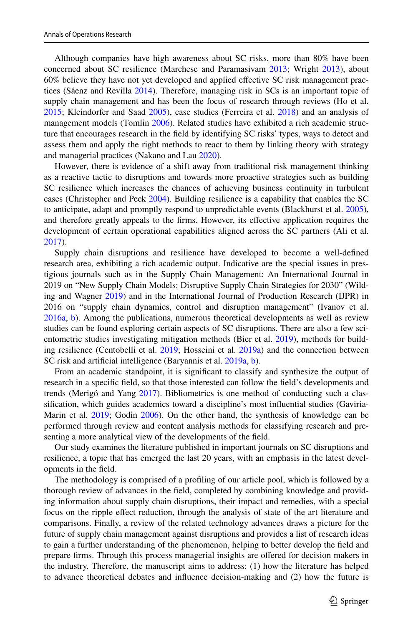Although companies have high awareness about SC risks, more than 80% have been concerned about SC resilience (Marchese and Paramasivam [2013;](#page-35-0) Wright [2013](#page-37-1)), about 60% believe they have not yet developed and applied efective SC risk management practices (Sáenz and Revilla [2014](#page-36-0)). Therefore, managing risk in SCs is an important topic of supply chain management and has been the focus of research through reviews (Ho et al. [2015;](#page-33-2) Kleindorfer and Saad [2005\)](#page-35-1), case studies (Ferreira et al. [2018\)](#page-33-3) and an analysis of management models (Tomlin [2006\)](#page-36-1). Related studies have exhibited a rich academic structure that encourages research in the feld by identifying SC risks' types, ways to detect and assess them and apply the right methods to react to them by linking theory with strategy and managerial practices (Nakano and Lau [2020\)](#page-35-2).

However, there is evidence of a shift away from traditional risk management thinking as a reactive tactic to disruptions and towards more proactive strategies such as building SC resilience which increases the chances of achieving business continuity in turbulent cases (Christopher and Peck [2004](#page-32-3)). Building resilience is a capability that enables the SC to anticipate, adapt and promptly respond to unpredictable events (Blackhurst et al. [2005](#page-31-0)), and therefore greatly appeals to the frms. However, its efective application requires the development of certain operational capabilities aligned across the SC partners (Ali et al. [2017\)](#page-31-4).

Supply chain disruptions and resilience have developed to become a well-defned research area, exhibiting a rich academic output. Indicative are the special issues in prestigious journals such as in the Supply Chain Management: An International Journal in 2019 on "New Supply Chain Models: Disruptive Supply Chain Strategies for 2030" (Wilding and Wagner [2019\)](#page-37-2) and in the International Journal of Production Research (IJPR) in 2016 on "supply chain dynamics, control and disruption management" (Ivanov et al. [2016a,](#page-34-2) [b](#page-34-3)). Among the publications, numerous theoretical developments as well as review studies can be found exploring certain aspects of SC disruptions. There are also a few scientometric studies investigating mitigation methods (Bier et al. [2019](#page-31-5)), methods for building resilience (Centobelli et al. [2019](#page-32-4); Hosseini et al. [2019a\)](#page-33-4) and the connection between SC risk and artifcial intelligence (Baryannis et al. [2019a,](#page-31-6) [b](#page-31-7)).

From an academic standpoint, it is signifcant to classify and synthesize the output of research in a specifc feld, so that those interested can follow the feld's developments and trends (Merigó and Yang [2017](#page-35-3)). Bibliometrics is one method of conducting such a classifcation, which guides academics toward a discipline's most infuential studies (Gaviria-Marin et al. [2019](#page-33-5); Godin [2006\)](#page-33-6). On the other hand, the synthesis of knowledge can be performed through review and content analysis methods for classifying research and presenting a more analytical view of the developments of the feld.

Our study examines the literature published in important journals on SC disruptions and resilience, a topic that has emerged the last 20 years, with an emphasis in the latest developments in the feld.

The methodology is comprised of a profling of our article pool, which is followed by a thorough review of advances in the feld, completed by combining knowledge and providing information about supply chain disruptions, their impact and remedies, with a special focus on the ripple efect reduction, through the analysis of state of the art literature and comparisons. Finally, a review of the related technology advances draws a picture for the future of supply chain management against disruptions and provides a list of research ideas to gain a further understanding of the phenomenon, helping to better develop the feld and prepare frms. Through this process managerial insights are ofered for decision makers in the industry. Therefore, the manuscript aims to address: (1) how the literature has helped to advance theoretical debates and infuence decision-making and (2) how the future is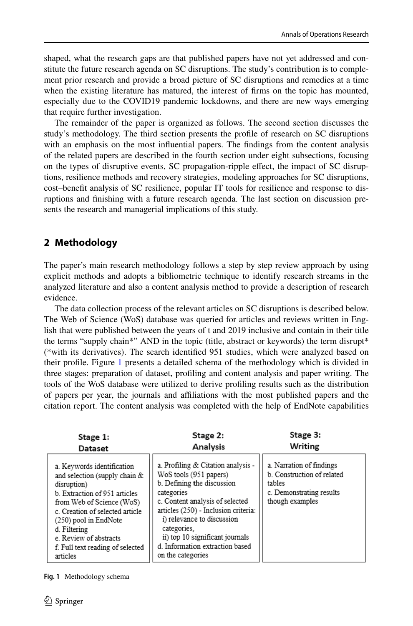shaped, what the research gaps are that published papers have not yet addressed and constitute the future research agenda on SC disruptions. The study's contribution is to complement prior research and provide a broad picture of SC disruptions and remedies at a time when the existing literature has matured, the interest of frms on the topic has mounted, especially due to the COVID19 pandemic lockdowns, and there are new ways emerging that require further investigation.

The remainder of the paper is organized as follows. The second section discusses the study's methodology. The third section presents the profle of research on SC disruptions with an emphasis on the most infuential papers. The fndings from the content analysis of the related papers are described in the fourth section under eight subsections, focusing on the types of disruptive events, SC propagation-ripple efect, the impact of SC disruptions, resilience methods and recovery strategies, modeling approaches for SC disruptions, cost–beneft analysis of SC resilience, popular IT tools for resilience and response to disruptions and fnishing with a future research agenda. The last section on discussion presents the research and managerial implications of this study.

## **2 Methodology**

The paper's main research methodology follows a step by step review approach by using explicit methods and adopts a bibliometric technique to identify research streams in the analyzed literature and also a content analysis method to provide a description of research evidence.

The data collection process of the relevant articles on SC disruptions is described below. The Web of Science (WoS) database was queried for articles and reviews written in English that were published between the years of t and 2019 inclusive and contain in their title the terms "supply chain\*" AND in the topic (title, abstract or keywords) the term disrupt\* (\*with its derivatives). The search identifed 951 studies, which were analyzed based on their profle. Figure [1](#page-3-0) presents a detailed schema of the methodology which is divided in three stages: preparation of dataset, profling and content analysis and paper writing. The tools of the WoS database were utilized to derive profling results such as the distribution of papers per year, the journals and afliations with the most published papers and the citation report. The content analysis was completed with the help of EndNote capabilities

| Stage 1:                                                                                                                                                                                                                                                                                           | Stage 2:                                                                                                                                                                                                                                                                                                                    | Stage 3:                                                                                                        |
|----------------------------------------------------------------------------------------------------------------------------------------------------------------------------------------------------------------------------------------------------------------------------------------------------|-----------------------------------------------------------------------------------------------------------------------------------------------------------------------------------------------------------------------------------------------------------------------------------------------------------------------------|-----------------------------------------------------------------------------------------------------------------|
| Dataset                                                                                                                                                                                                                                                                                            | Analysis                                                                                                                                                                                                                                                                                                                    | Writing                                                                                                         |
| a. Keywords identification<br>and selection (supply chain $&$<br>disruption)<br>b. Extraction of 951 articles<br>from Web of Science (WoS)<br>c. Creation of selected article<br>$(250)$ pool in EndNote<br>d. Filtering<br>e. Review of abstracts<br>f. Full text reading of selected<br>articles | a. Profiling & Citation analysis -<br>WoS tools (951 papers)<br>b. Defining the discussion<br>categories<br>c. Content analysis of selected<br>articles (250) - Inclusion criteria:<br>i) relevance to discussion<br>categories.<br>ii) top 10 significant journals<br>d. Information extraction based<br>on the categories | a. Narration of findings<br>b. Construction of related<br>tables<br>c. Demonstrating results<br>though examples |

<span id="page-3-0"></span>**Fig. 1** Methodology schema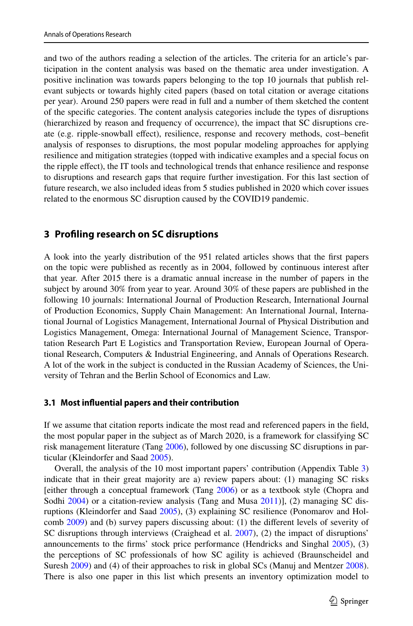and two of the authors reading a selection of the articles. The criteria for an article's participation in the content analysis was based on the thematic area under investigation. A positive inclination was towards papers belonging to the top 10 journals that publish relevant subjects or towards highly cited papers (based on total citation or average citations per year). Around 250 papers were read in full and a number of them sketched the content of the specifc categories. The content analysis categories include the types of disruptions (hierarchized by reason and frequency of occurrence), the impact that SC disruptions create (e.g. ripple-snowball efect), resilience, response and recovery methods, cost–beneft analysis of responses to disruptions, the most popular modeling approaches for applying resilience and mitigation strategies (topped with indicative examples and a special focus on the ripple efect), the IT tools and technological trends that enhance resilience and response to disruptions and research gaps that require further investigation. For this last section of future research, we also included ideas from 5 studies published in 2020 which cover issues related to the enormous SC disruption caused by the COVID19 pandemic.

### **3 Profling research on SC disruptions**

A look into the yearly distribution of the 951 related articles shows that the frst papers on the topic were published as recently as in 2004, followed by continuous interest after that year. After 2015 there is a dramatic annual increase in the number of papers in the subject by around 30% from year to year. Around 30% of these papers are published in the following 10 journals: International Journal of Production Research, International Journal of Production Economics, Supply Chain Management: An International Journal, International Journal of Logistics Management, International Journal of Physical Distribution and Logistics Management, Omega: International Journal of Management Science, Transportation Research Part E Logistics and Transportation Review, European Journal of Operational Research, Computers & Industrial Engineering, and Annals of Operations Research. A lot of the work in the subject is conducted in the Russian Academy of Sciences, the University of Tehran and the Berlin School of Economics and Law.

#### **3.1 Most infuential papers and their contribution**

If we assume that citation reports indicate the most read and referenced papers in the feld, the most popular paper in the subject as of March 2020, is a framework for classifying SC risk management literature (Tang [2006](#page-36-2)), followed by one discussing SC disruptions in particular (Kleindorfer and Saad [2005](#page-35-1)).

Overall, the analysis of the 10 most important papers' contribution (Appendix Table [3](#page-26-0)) indicate that in their great majority are a) review papers about: (1) managing SC risks [either through a conceptual framework (Tang [2006\)](#page-36-2) or as a textbook style (Chopra and Sodhi [2004](#page-32-5)) or a citation-review analysis (Tang and Musa [2011](#page-36-3))], (2) managing SC disruptions (Kleindorfer and Saad [2005\)](#page-35-1), (3) explaining SC resilience (Ponomarov and Holcomb [2009\)](#page-35-4) and (b) survey papers discussing about: (1) the diferent levels of severity of SC disruptions through interviews (Craighead et al. [2007](#page-32-6)), (2) the impact of disruptions' announcements to the frms' stock price performance (Hendricks and Singhal [2005\)](#page-33-7), (3) the perceptions of SC professionals of how SC agility is achieved (Braunscheidel and Suresh [2009](#page-32-7)) and (4) of their approaches to risk in global SCs (Manuj and Mentzer [2008](#page-35-5)). There is also one paper in this list which presents an inventory optimization model to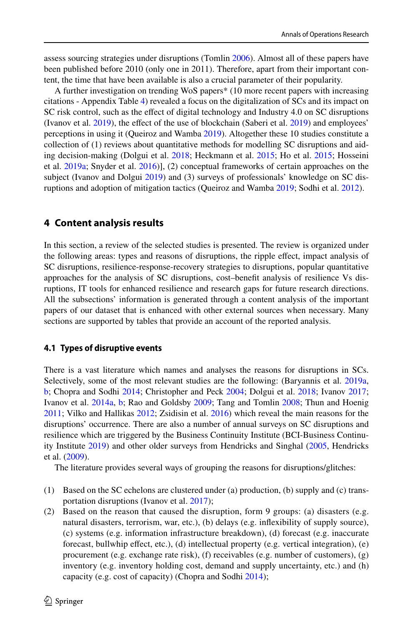assess sourcing strategies under disruptions (Tomlin [2006](#page-36-1)). Almost all of these papers have been published before 2010 (only one in 2011). Therefore, apart from their important content, the time that have been available is also a crucial parameter of their popularity.

A further investigation on trending WoS papers\* (10 more recent papers with increasing citations - Appendix Table [4](#page-27-0)) revealed a focus on the digitalization of SCs and its impact on SC risk control, such as the efect of digital technology and Industry 4.0 on SC disruptions (Ivanov et al. [2019](#page-34-4)), the effect of the use of blockchain (Saberi et al. [2019\)](#page-36-4) and employees' perceptions in using it (Queiroz and Wamba [2019\)](#page-35-6). Altogether these 10 studies constitute a collection of (1) reviews about quantitative methods for modelling SC disruptions and aiding decision-making (Dolgui et al. [2018;](#page-32-8) Heckmann et al. [2015](#page-33-8); Ho et al. [2015;](#page-33-2) Hosseini et al. [2019a;](#page-33-4) Snyder et al. [2016\)](#page-36-5)], (2) conceptual frameworks of certain approaches on the subject (Ivanov and Dolgui [2019](#page-34-5)) and (3) surveys of professionals' knowledge on SC disruptions and adoption of mitigation tactics (Queiroz and Wamba [2019](#page-35-6); Sodhi et al. [2012](#page-36-6)).

### **4 Content analysis results**

In this section, a review of the selected studies is presented. The review is organized under the following areas: types and reasons of disruptions, the ripple efect, impact analysis of SC disruptions, resilience-response-recovery strategies to disruptions, popular quantitative approaches for the analysis of SC disruptions, cost–beneft analysis of resilience Vs disruptions, IT tools for enhanced resilience and research gaps for future research directions. All the subsections' information is generated through a content analysis of the important papers of our dataset that is enhanced with other external sources when necessary. Many sections are supported by tables that provide an account of the reported analysis.

### **4.1 Types of disruptive events**

There is a vast literature which names and analyses the reasons for disruptions in SCs. Selectively, some of the most relevant studies are the following: (Baryannis et al. [2019a](#page-31-6), [b;](#page-31-7) Chopra and Sodhi [2014](#page-32-9); Christopher and Peck [2004;](#page-32-3) Dolgui et al. [2018](#page-32-8); Ivanov [2017;](#page-34-6) Ivanov et al. [2014a,](#page-34-0) [b;](#page-34-1) Rao and Goldsby [2009](#page-36-7); Tang and Tomlin [2008](#page-36-8); Thun and Hoenig [2011;](#page-36-9) Vilko and Hallikas [2012;](#page-36-10) Zsidisin et al. [2016](#page-37-3)) which reveal the main reasons for the disruptions' occurrence. There are also a number of annual surveys on SC disruptions and resilience which are triggered by the Business Continuity Institute (BCI-Business Continuity Institute [2019](#page-31-1)) and other older surveys from Hendricks and Singhal [\(2005](#page-33-7), Hendricks et al. ([2009\)](#page-33-9).

The literature provides several ways of grouping the reasons for disruptions/glitches:

- (1) Based on the SC echelons are clustered under (a) production, (b) supply and (c) transportation disruptions (Ivanov et al. [2017](#page-34-7));
- (2) Based on the reason that caused the disruption, form 9 groups: (a) disasters (e.g. natural disasters, terrorism, war, etc.), (b) delays (e.g. infexibility of supply source), (c) systems (e.g. information infrastructure breakdown), (d) forecast (e.g. inaccurate forecast, bullwhip efect, etc.), (d) intellectual property (e.g. vertical integration), (e) procurement (e.g. exchange rate risk), (f) receivables (e.g. number of customers), (g) inventory (e.g. inventory holding cost, demand and supply uncertainty, etc.) and (h) capacity (e.g. cost of capacity) (Chopra and Sodhi [2014](#page-32-9));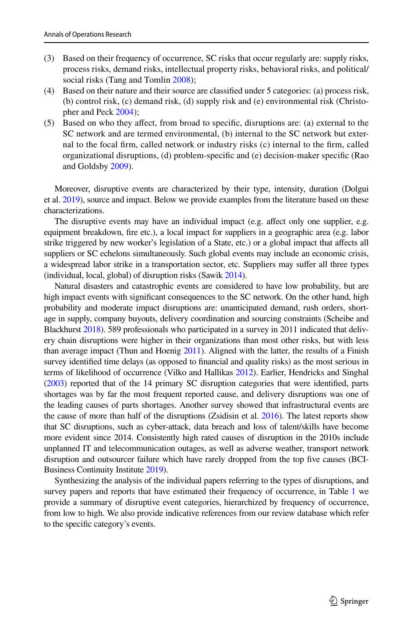- (3) Based on their frequency of occurrence, SC risks that occur regularly are: supply risks, process risks, demand risks, intellectual property risks, behavioral risks, and political/ social risks (Tang and Tomlin [2008\)](#page-36-8);
- (4) Based on their nature and their source are classifed under 5 categories: (a) process risk, (b) control risk, (c) demand risk, (d) supply risk and (e) environmental risk (Christopher and Peck [2004](#page-32-3));
- (5) Based on who they afect, from broad to specifc, disruptions are: (a) external to the SC network and are termed environmental, (b) internal to the SC network but external to the focal frm, called network or industry risks (c) internal to the frm, called organizational disruptions, (d) problem-specifc and (e) decision-maker specifc (Rao and Goldsby [2009\)](#page-36-7).

Moreover, disruptive events are characterized by their type, intensity, duration (Dolgui et al. [2019](#page-32-10)), source and impact. Below we provide examples from the literature based on these characterizations.

The disruptive events may have an individual impact (e.g. affect only one supplier, e.g. equipment breakdown, fre etc.), a local impact for suppliers in a geographic area (e.g. labor strike triggered by new worker's legislation of a State, etc.) or a global impact that afects all suppliers or SC echelons simultaneously. Such global events may include an economic crisis, a widespread labor strike in a transportation sector, etc. Suppliers may sufer all three types (individual, local, global) of disruption risks (Sawik [2014\)](#page-36-11).

Natural disasters and catastrophic events are considered to have low probability, but are high impact events with signifcant consequences to the SC network. On the other hand, high probability and moderate impact disruptions are: unanticipated demand, rush orders, shortage in supply, company buyouts, delivery coordination and sourcing constraints (Scheibe and Blackhurst [2018](#page-36-12)). 589 professionals who participated in a survey in 2011 indicated that delivery chain disruptions were higher in their organizations than most other risks, but with less than average impact (Thun and Hoenig [2011\)](#page-36-9). Aligned with the latter, the results of a Finish survey identifed time delays (as opposed to fnancial and quality risks) as the most serious in terms of likelihood of occurrence (Vilko and Hallikas [2012](#page-36-10)). Earlier, Hendricks and Singhal ([2003](#page-33-10)) reported that of the 14 primary SC disruption categories that were identifed, parts shortages was by far the most frequent reported cause, and delivery disruptions was one of the leading causes of parts shortages. Another survey showed that infrastructural events are the cause of more than half of the disruptions (Zsidisin et al. [2016\)](#page-37-3). The latest reports show that SC disruptions, such as cyber-attack, data breach and loss of talent/skills have become more evident since 2014. Consistently high rated causes of disruption in the 2010s include unplanned IT and telecommunication outages, as well as adverse weather, transport network disruption and outsourcer failure which have rarely dropped from the top fve causes (BCI-Business Continuity Institute [2019\)](#page-31-1).

Synthesizing the analysis of the individual papers referring to the types of disruptions, and survey papers and reports that have estimated their frequency of occurrence, in Table [1](#page-7-0) we provide a summary of disruptive event categories, hierarchized by frequency of occurrence, from low to high. We also provide indicative references from our review database which refer to the specifc category's events.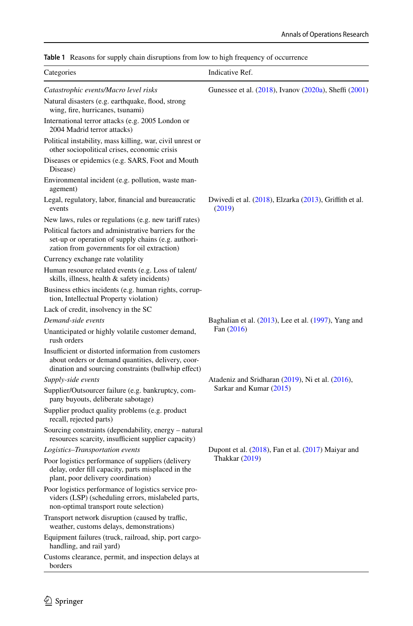| Categories                                                                                                                                                        | Indicative Ref.                                                  |
|-------------------------------------------------------------------------------------------------------------------------------------------------------------------|------------------------------------------------------------------|
| Catastrophic events/Macro level risks                                                                                                                             | Gunessee et al. (2018), Ivanov (2020a), Sheffi (2001)            |
| Natural disasters (e.g. earthquake, flood, strong<br>wing, fire, hurricanes, tsunami)                                                                             |                                                                  |
| International terror attacks (e.g. 2005 London or<br>2004 Madrid terror attacks)                                                                                  |                                                                  |
| Political instability, mass killing, war, civil unrest or<br>other sociopolitical crises, economic crisis                                                         |                                                                  |
| Diseases or epidemics (e.g. SARS, Foot and Mouth<br>Disease)                                                                                                      |                                                                  |
| Environmental incident (e.g. pollution, waste man-<br>agement)                                                                                                    |                                                                  |
| Legal, regulatory, labor, financial and bureaucratic<br>events                                                                                                    | Dwivedi et al. (2018), Elzarka (2013), Griffith et al.<br>(2019) |
| New laws, rules or regulations (e.g. new tariff rates)                                                                                                            |                                                                  |
| Political factors and administrative barriers for the<br>set-up or operation of supply chains (e.g. authori-<br>zation from governments for oil extraction)       |                                                                  |
| Currency exchange rate volatility                                                                                                                                 |                                                                  |
| Human resource related events (e.g. Loss of talent/<br>skills, illness, health & safety incidents)                                                                |                                                                  |
| Business ethics incidents (e.g. human rights, corrup-<br>tion, Intellectual Property violation)                                                                   |                                                                  |
| Lack of credit, insolvency in the SC                                                                                                                              |                                                                  |
| Demand-side events                                                                                                                                                | Baghalian et al. $(2013)$ , Lee et al. $(1997)$ , Yang and       |
| Unanticipated or highly volatile customer demand,<br>rush orders                                                                                                  | Fan (2016)                                                       |
| Insufficient or distorted information from customers<br>about orders or demand quantities, delivery, coor-<br>dination and sourcing constraints (bullwhip effect) |                                                                  |
| Supply-side events                                                                                                                                                | Atadeniz and Sridharan (2019), Ni et al. (2016),                 |
| Supplier/Outsourcer failure (e.g. bankruptcy, com-<br>pany buyouts, deliberate sabotage)                                                                          | Sarkar and Kumar (2015)                                          |
| Supplier product quality problems (e.g. product<br>recall, rejected parts)                                                                                        |                                                                  |
| Sourcing constraints (dependability, energy – natural<br>resources scarcity, insufficient supplier capacity)                                                      |                                                                  |
| Logistics-Transportation events                                                                                                                                   | Dupont et al. $(2018)$ , Fan et al. $(2017)$ Maiyar and          |
| Poor logistics performance of suppliers (delivery<br>delay, order fill capacity, parts misplaced in the<br>plant, poor delivery coordination)                     | <b>Thakkar</b> (2019)                                            |
| Poor logistics performance of logistics service pro-<br>viders (LSP) (scheduling errors, mislabeled parts,<br>non-optimal transport route selection)              |                                                                  |
| Transport network disruption (caused by traffic,<br>weather, customs delays, demonstrations)                                                                      |                                                                  |
| Equipment failures (truck, railroad, ship, port cargo-<br>handling, and rail yard)                                                                                |                                                                  |
| Customs clearance, permit, and inspection delays at<br>borders                                                                                                    |                                                                  |

<span id="page-7-0"></span>**Table 1** Reasons for supply chain disruptions from low to high frequency of occurrence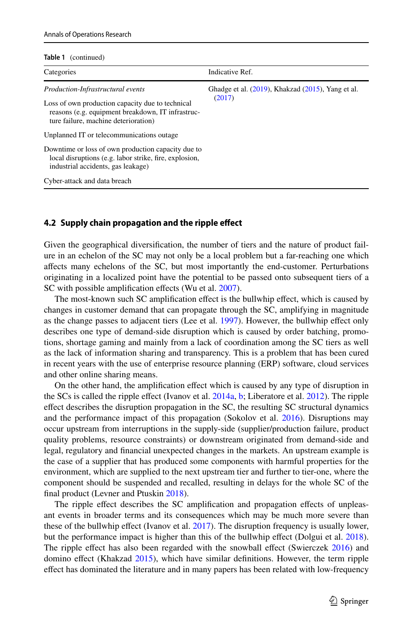**Table 1** (continued)

| Categories                                                                                                                                         | Indicative Ref.                                         |
|----------------------------------------------------------------------------------------------------------------------------------------------------|---------------------------------------------------------|
| Production-Infrastructural events                                                                                                                  | Ghadge et al. $(2019)$ , Khakzad $(2015)$ , Yang et al. |
| Loss of own production capacity due to technical<br>reasons (e.g. equipment breakdown, IT infrastruc-<br>ture failure, machine deterioration)      | (2017)                                                  |
| Unplanned IT or telecommunications outage                                                                                                          |                                                         |
| Downtime or loss of own production capacity due to<br>local disruptions (e.g. labor strike, fire, explosion,<br>industrial accidents, gas leakage) |                                                         |
| Cyber-attack and data breach                                                                                                                       |                                                         |

#### **4.2 Supply chain propagation and the ripple efect**

Given the geographical diversifcation, the number of tiers and the nature of product failure in an echelon of the SC may not only be a local problem but a far-reaching one which afects many echelons of the SC, but most importantly the end-customer. Perturbations originating in a localized point have the potential to be passed onto subsequent tiers of a SC with possible amplification effects (Wu et al. [2007\)](#page-37-5).

The most-known such SC amplification effect is the bullwhip effect, which is caused by changes in customer demand that can propagate through the SC, amplifying in magnitude as the change passes to adjacent tiers (Lee et al. [1997](#page-35-7)). However, the bullwhip efect only describes one type of demand-side disruption which is caused by order batching, promotions, shortage gaming and mainly from a lack of coordination among the SC tiers as well as the lack of information sharing and transparency. This is a problem that has been cured in recent years with the use of enterprise resource planning (ERP) software, cloud services and other online sharing means.

On the other hand, the amplifcation efect which is caused by any type of disruption in the SCs is called the ripple effect (Ivanov et al. [2014a](#page-34-0), [b;](#page-34-1) Liberatore et al. [2012](#page-35-10)). The ripple efect describes the disruption propagation in the SC, the resulting SC structural dynamics and the performance impact of this propagation (Sokolov et al. [2016](#page-36-15)). Disruptions may occur upstream from interruptions in the supply-side (supplier/production failure, product quality problems, resource constraints) or downstream originated from demand-side and legal, regulatory and fnancial unexpected changes in the markets. An upstream example is the case of a supplier that has produced some components with harmful properties for the environment, which are supplied to the next upstream tier and further to tier-one, where the component should be suspended and recalled, resulting in delays for the whole SC of the final product (Levner and Ptuskin [2018\)](#page-35-11).

The ripple effect describes the SC amplification and propagation effects of unpleasant events in broader terms and its consequences which may be much more severe than these of the bullwhip efect (Ivanov et al. [2017](#page-34-7)). The disruption frequency is usually lower, but the performance impact is higher than this of the bullwhip effect (Dolgui et al. [2018](#page-32-8)). The ripple efect has also been regarded with the snowball efect (Swierczek [2016](#page-36-16)) and domino effect (Khakzad [2015\)](#page-35-12), which have similar definitions. However, the term ripple efect has dominated the literature and in many papers has been related with low-frequency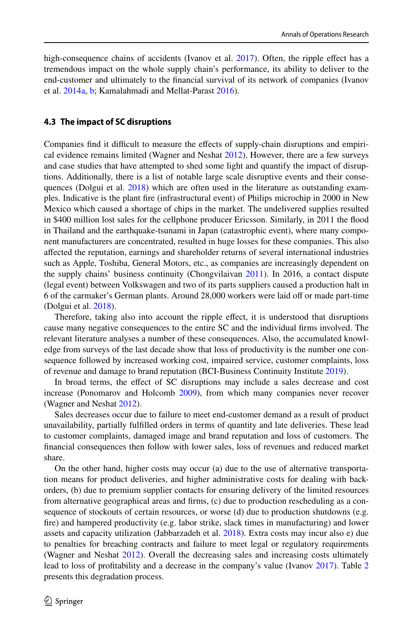high-consequence chains of accidents (Ivanov et al. [2017\)](#page-34-7). Often, the ripple effect has a tremendous impact on the whole supply chain's performance, its ability to deliver to the end-customer and ultimately to the fnancial survival of its network of companies (Ivanov et al. [2014a,](#page-34-0) [b](#page-34-1); Kamalahmadi and Mellat-Parast [2016](#page-34-9)).

#### **4.3 The impact of SC disruptions**

Companies find it difficult to measure the effects of supply-chain disruptions and empirical evidence remains limited (Wagner and Neshat [2012](#page-36-17)). However, there are a few surveys and case studies that have attempted to shed some light and quantify the impact of disruptions. Additionally, there is a list of notable large scale disruptive events and their consequences (Dolgui et al. [2018](#page-32-8)) which are often used in the literature as outstanding examples. Indicative is the plant fre (infrastructural event) of Philips microchip in 2000 in New Mexico which caused a shortage of chips in the market. The undelivered supplies resulted in \$400 million lost sales for the cellphone producer Ericsson. Similarly, in 2011 the food in Thailand and the earthquake-tsunami in Japan (catastrophic event), where many component manufacturers are concentrated, resulted in huge losses for these companies. This also afected the reputation, earnings and shareholder returns of several international industries such as Apple, Toshiba, General Motors, etc., as companies are increasingly dependent on the supply chains' business continuity (Chongvilaivan [2011\)](#page-32-0). In 2016, a contact dispute (legal event) between Volkswagen and two of its parts suppliers caused a production halt in 6 of the carmaker's German plants. Around 28,000 workers were laid of or made part-time (Dolgui et al. [2018](#page-32-8)).

Therefore, taking also into account the ripple efect, it is understood that disruptions cause many negative consequences to the entire SC and the individual frms involved. The relevant literature analyses a number of these consequences. Also, the accumulated knowledge from surveys of the last decade show that loss of productivity is the number one consequence followed by increased working cost, impaired service, customer complaints, loss of revenue and damage to brand reputation (BCI-Business Continuity Institute [2019](#page-31-1)).

In broad terms, the efect of SC disruptions may include a sales decrease and cost increase (Ponomarov and Holcomb [2009\)](#page-35-4), from which many companies never recover (Wagner and Neshat [2012\)](#page-36-17).

Sales decreases occur due to failure to meet end-customer demand as a result of product unavailability, partially fulflled orders in terms of quantity and late deliveries. These lead to customer complaints, damaged image and brand reputation and loss of customers. The fnancial consequences then follow with lower sales, loss of revenues and reduced market share.

On the other hand, higher costs may occur (a) due to the use of alternative transportation means for product deliveries, and higher administrative costs for dealing with backorders, (b) due to premium supplier contacts for ensuring delivery of the limited resources from alternative geographical areas and frms, (c) due to production rescheduling as a consequence of stockouts of certain resources, or worse (d) due to production shutdowns (e.g. fre) and hampered productivity (e.g. labor strike, slack times in manufacturing) and lower assets and capacity utilization (Jabbarzadeh et al. [2018\)](#page-34-10). Extra costs may incur also e) due to penalties for breaching contracts and failure to meet legal or regulatory requirements (Wagner and Neshat [2012](#page-36-17)). Overall the decreasing sales and increasing costs ultimately lead to loss of proftability and a decrease in the company's value (Ivanov [2017](#page-34-6)). Table [2](#page-10-0) presents this degradation process.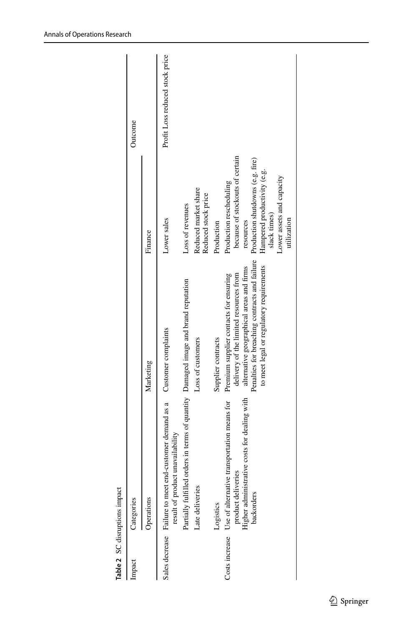| Impaci | Categories                                                                                                                                     |                                                                                                                                                                                                                           |                                                                                                                                                                                                        | Outcome                         |
|--------|------------------------------------------------------------------------------------------------------------------------------------------------|---------------------------------------------------------------------------------------------------------------------------------------------------------------------------------------------------------------------------|--------------------------------------------------------------------------------------------------------------------------------------------------------------------------------------------------------|---------------------------------|
|        | Operations                                                                                                                                     | Marketing                                                                                                                                                                                                                 | Finance                                                                                                                                                                                                |                                 |
|        | Sales decrease Failure to meet end-customer demand as a Customer complaints<br>result of product unavailability                                |                                                                                                                                                                                                                           | Lower sales                                                                                                                                                                                            | Profit Loss reduced stock price |
|        | Partially fulfilled orders in terms of quantity Damaged image and brand reputation                                                             |                                                                                                                                                                                                                           | Loss of revenues                                                                                                                                                                                       |                                 |
|        | Late deliveries                                                                                                                                | Loss of customers                                                                                                                                                                                                         | Reduced market share<br>Reduced stock price                                                                                                                                                            |                                 |
|        | Logistics                                                                                                                                      | Supplier contracts                                                                                                                                                                                                        | Production                                                                                                                                                                                             |                                 |
|        | Costs increase Use of alternative transportation means for<br>Higher administrative costs for dealing with<br>product deliveries<br>backorders | Penalties for breaching contracts and failure<br>to meet legal or regulatory requirements<br>alternative geographical areas and firms<br>delivery of the limited resources from<br>Premium supplier contacts for ensuring | because of stockouts of certain<br>Production shutdowns (e.g. fire)<br>Hampered productivity (e.g.<br>Lower assets and capacity<br>Production rescheduling<br>slack times)<br>utilization<br>resources |                                 |
|        |                                                                                                                                                |                                                                                                                                                                                                                           |                                                                                                                                                                                                        |                                 |

<span id="page-10-0"></span>Table 2 SC disruptions impact **Table 2** SC disruptions impact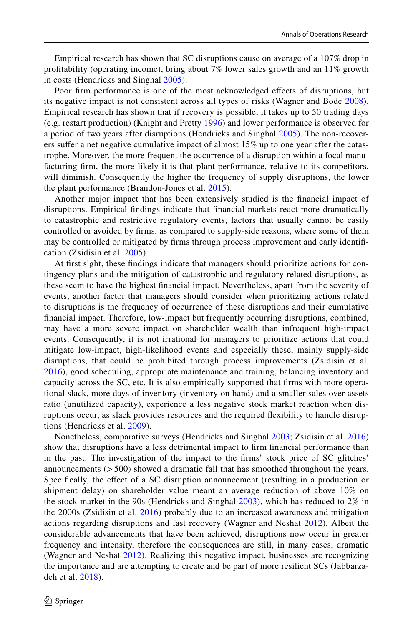Empirical research has shown that SC disruptions cause on average of a 107% drop in proftability (operating income), bring about 7% lower sales growth and an 11% growth in costs (Hendricks and Singhal [2005\)](#page-33-7).

Poor firm performance is one of the most acknowledged effects of disruptions, but its negative impact is not consistent across all types of risks (Wagner and Bode [2008\)](#page-36-18). Empirical research has shown that if recovery is possible, it takes up to 50 trading days (e.g. restart production) (Knight and Pretty [1996\)](#page-35-13) and lower performance is observed for a period of two years after disruptions (Hendricks and Singhal [2005](#page-33-7)). The non-recoverers sufer a net negative cumulative impact of almost 15% up to one year after the catastrophe. Moreover, the more frequent the occurrence of a disruption within a focal manufacturing firm, the more likely it is that plant performance, relative to its competitors, will diminish. Consequently the higher the frequency of supply disruptions, the lower the plant performance (Brandon-Jones et al. [2015](#page-32-11)).

Another major impact that has been extensively studied is the fnancial impact of disruptions. Empirical fndings indicate that fnancial markets react more dramatically to catastrophic and restrictive regulatory events, factors that usually cannot be easily controlled or avoided by frms, as compared to supply-side reasons, where some of them may be controlled or mitigated by frms through process improvement and early identifcation (Zsidisin et al. [2005](#page-37-0)).

At frst sight, these fndings indicate that managers should prioritize actions for contingency plans and the mitigation of catastrophic and regulatory-related disruptions, as these seem to have the highest fnancial impact. Nevertheless, apart from the severity of events, another factor that managers should consider when prioritizing actions related to disruptions is the frequency of occurrence of these disruptions and their cumulative fnancial impact. Therefore, low-impact but frequently occurring disruptions, combined, may have a more severe impact on shareholder wealth than infrequent high-impact events. Consequently, it is not irrational for managers to prioritize actions that could mitigate low-impact, high-likelihood events and especially these, mainly supply-side disruptions, that could be prohibited through process improvements (Zsidisin et al. [2016](#page-37-3)), good scheduling, appropriate maintenance and training, balancing inventory and capacity across the SC, etc. It is also empirically supported that frms with more operational slack, more days of inventory (inventory on hand) and a smaller sales over assets ratio (unutilized capacity), experience a less negative stock market reaction when disruptions occur, as slack provides resources and the required fexibility to handle disruptions (Hendricks et al. [2009\)](#page-33-9).

Nonetheless, comparative surveys (Hendricks and Singhal [2003;](#page-33-10) Zsidisin et al. [2016](#page-37-3)) show that disruptions have a less detrimental impact to frm fnancial performance than in the past. The investigation of the impact to the frms' stock price of SC glitches' announcements  $(500)$  showed a dramatic fall that has smoothed throughout the years. Specifcally, the efect of a SC disruption announcement (resulting in a production or shipment delay) on shareholder value meant an average reduction of above 10% on the stock market in the 90s (Hendricks and Singhal [2003\)](#page-33-10), which has reduced to 2% in the 2000s (Zsidisin et al. [2016\)](#page-37-3) probably due to an increased awareness and mitigation actions regarding disruptions and fast recovery (Wagner and Neshat [2012](#page-36-17)). Albeit the considerable advancements that have been achieved, disruptions now occur in greater frequency and intensity, therefore the consequences are still, in many cases, dramatic (Wagner and Neshat [2012\)](#page-36-17). Realizing this negative impact, businesses are recognizing the importance and are attempting to create and be part of more resilient SCs (Jabbarzadeh et al. [2018\)](#page-34-10).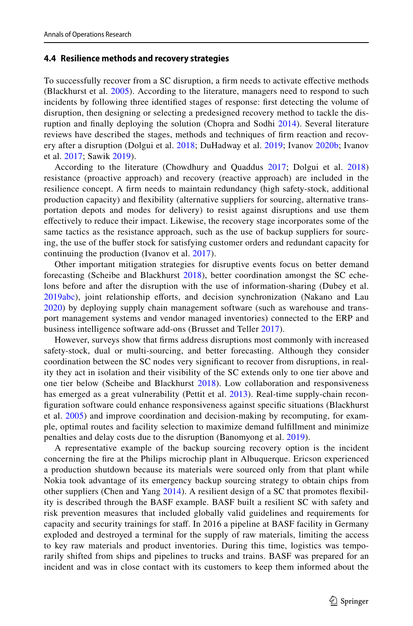#### **4.4 Resilience methods and recovery strategies**

To successfully recover from a SC disruption, a frm needs to activate efective methods (Blackhurst et al. [2005\)](#page-31-0). According to the literature, managers need to respond to such incidents by following three identifed stages of response: frst detecting the volume of disruption, then designing or selecting a predesigned recovery method to tackle the disruption and fnally deploying the solution (Chopra and Sodhi [2014\)](#page-32-9). Several literature reviews have described the stages, methods and techniques of frm reaction and recovery after a disruption (Dolgui et al. [2018;](#page-32-8) DuHadway et al. [2019](#page-33-18); Ivanov [2020b](#page-34-11); Ivanov et al. [2017;](#page-34-7) Sawik [2019](#page-36-19)).

According to the literature (Chowdhury and Quaddus [2017;](#page-32-12) Dolgui et al. [2018](#page-32-8)) resistance (proactive approach) and recovery (reactive approach) are included in the resilience concept. A frm needs to maintain redundancy (high safety-stock, additional production capacity) and fexibility (alternative suppliers for sourcing, alternative transportation depots and modes for delivery) to resist against disruptions and use them efectively to reduce their impact. Likewise, the recovery stage incorporates some of the same tactics as the resistance approach, such as the use of backup suppliers for sourcing, the use of the buffer stock for satisfying customer orders and redundant capacity for continuing the production (Ivanov et al. [2017\)](#page-34-7).

Other important mitigation strategies for disruptive events focus on better demand forecasting (Scheibe and Blackhurst [2018\)](#page-36-12), better coordination amongst the SC echelons before and after the disruption with the use of information-sharing (Dubey et al. [2019a](#page-32-1)[b](#page-32-2)[c\)](#page-33-1), joint relationship eforts, and decision synchronization (Nakano and Lau [2020](#page-35-2)) by deploying supply chain management software (such as warehouse and transport management systems and vendor managed inventories) connected to the ERP and business intelligence software add-ons (Brusset and Teller [2017\)](#page-32-13).

However, surveys show that frms address disruptions most commonly with increased safety-stock, dual or multi-sourcing, and better forecasting. Although they consider coordination between the SC nodes very signifcant to recover from disruptions, in reality they act in isolation and their visibility of the SC extends only to one tier above and one tier below (Scheibe and Blackhurst [2018\)](#page-36-12). Low collaboration and responsiveness has emerged as a great vulnerability (Pettit et al. [2013\)](#page-35-14). Real-time supply-chain reconfguration software could enhance responsiveness against specifc situations (Blackhurst et al. [2005](#page-31-0)) and improve coordination and decision-making by recomputing, for example, optimal routes and facility selection to maximize demand fulfllment and minimize penalties and delay costs due to the disruption (Banomyong et al. [2019\)](#page-31-10).

A representative example of the backup sourcing recovery option is the incident concerning the fre at the Philips microchip plant in Albuquerque. Ericson experienced a production shutdown because its materials were sourced only from that plant while Nokia took advantage of its emergency backup sourcing strategy to obtain chips from other suppliers (Chen and Yang [2014](#page-32-14)). A resilient design of a SC that promotes fexibility is described through the BASF example. BASF built a resilient SC with safety and risk prevention measures that included globally valid guidelines and requirements for capacity and security trainings for staf. In 2016 a pipeline at BASF facility in Germany exploded and destroyed a terminal for the supply of raw materials, limiting the access to key raw materials and product inventories. During this time, logistics was temporarily shifted from ships and pipelines to trucks and trains. BASF was prepared for an incident and was in close contact with its customers to keep them informed about the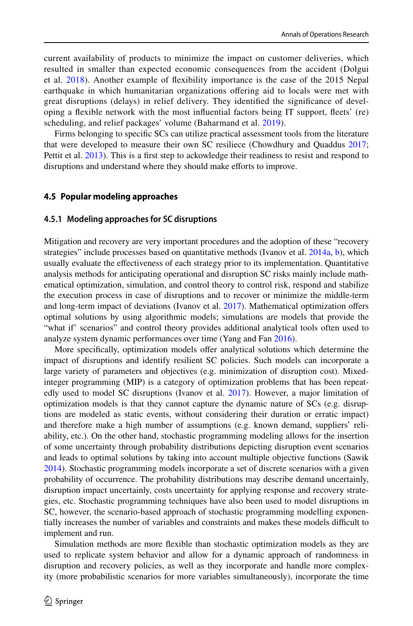current availability of products to minimize the impact on customer deliveries, which resulted in smaller than expected economic consequences from the accident (Dolgui et al. [2018](#page-32-8)). Another example of fexibility importance is the case of the 2015 Nepal earthquake in which humanitarian organizations ofering aid to locals were met with great disruptions (delays) in relief delivery. They identifed the signifcance of developing a fexible network with the most infuential factors being IT support, feets' (re) scheduling, and relief packages' volume (Baharmand et al. [2019\)](#page-31-11).

Firms belonging to specifc SCs can utilize practical assessment tools from the literature that were developed to measure their own SC resiliece (Chowdhury and Quaddus [2017;](#page-32-12) Pettit et al. [2013\)](#page-35-14). This is a first step to ackowledge their readiness to resist and respond to disruptions and understand where they should make efforts to improve.

#### **4.5 Popular modeling approaches**

#### **4.5.1 Modeling approaches for SC disruptions**

Mitigation and recovery are very important procedures and the adoption of these "recovery strategies" include processes based on quantitative methods (Ivanov et al. [2014a,](#page-34-0) [b\)](#page-34-1), which usually evaluate the efectiveness of each strategy prior to its implementation. Quantitative analysis methods for anticipating operational and disruption SC risks mainly include mathematical optimization, simulation, and control theory to control risk, respond and stabilize the execution process in case of disruptions and to recover or minimize the middle-term and long-term impact of deviations (Ivanov et al. [2017\)](#page-34-7). Mathematical optimization ofers optimal solutions by using algorithmic models; simulations are models that provide the "what if' scenarios" and control theory provides additional analytical tools often used to analyze system dynamic performances over time (Yang and Fan [2016\)](#page-37-4).

More specifically, optimization models offer analytical solutions which determine the impact of disruptions and identify resilient SC policies. Such models can incorporate a large variety of parameters and objectives (e.g. minimization of disruption cost). Mixedinteger programming (MIP) is a category of optimization problems that has been repeat-edly used to model SC disruptions (Ivanov et al. [2017\)](#page-34-7). However, a major limitation of optimization models is that they cannot capture the dynamic nature of SCs (e.g. disruptions are modeled as static events, without considering their duration or erratic impact) and therefore make a high number of assumptions (e.g. known demand, suppliers' reliability, etc.). On the other hand, stochastic programming modeling allows for the insertion of some uncertainty through probability distributions depicting disruption event scenarios and leads to optimal solutions by taking into account multiple objective functions (Sawik [2014\)](#page-36-11). Stochastic programming models incorporate a set of discrete scenarios with a given probability of occurrence. The probability distributions may describe demand uncertainly, disruption impact uncertainly, costs uncertainty for applying response and recovery strategies, etc. Stochastic programming techniques have also been used to model disruptions in SC, however, the scenario-based approach of stochastic programming modelling exponentially increases the number of variables and constraints and makes these models difcult to implement and run.

Simulation methods are more fexible than stochastic optimization models as they are used to replicate system behavior and allow for a dynamic approach of randomness in disruption and recovery policies, as well as they incorporate and handle more complexity (more probabilistic scenarios for more variables simultaneously), incorporate the time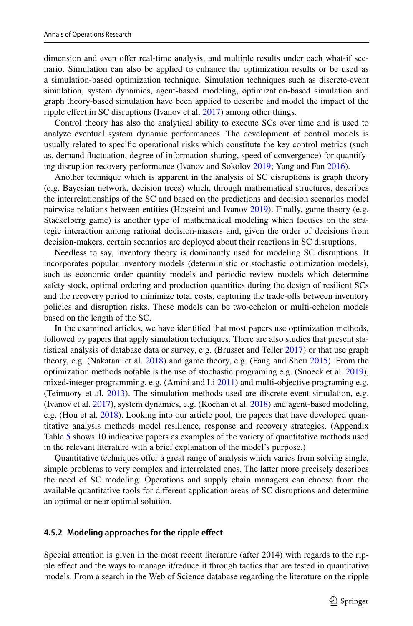dimension and even offer real-time analysis, and multiple results under each what-if scenario. Simulation can also be applied to enhance the optimization results or be used as a simulation-based optimization technique. Simulation techniques such as discrete-event simulation, system dynamics, agent-based modeling, optimization-based simulation and graph theory-based simulation have been applied to describe and model the impact of the ripple effect in SC disruptions (Ivanov et al. [2017\)](#page-34-7) among other things.

Control theory has also the analytical ability to execute SCs over time and is used to analyze eventual system dynamic performances. The development of control models is usually related to specifc operational risks which constitute the key control metrics (such as, demand fuctuation, degree of information sharing, speed of convergence) for quantifying disruption recovery performance (Ivanov and Sokolov [2019](#page-34-12); Yang and Fan [2016](#page-37-4)).

Another technique which is apparent in the analysis of SC disruptions is graph theory (e.g. Bayesian network, decision trees) which, through mathematical structures, describes the interrelationships of the SC and based on the predictions and decision scenarios model pairwise relations between entities (Hosseini and Ivanov [2019](#page-33-19)). Finally, game theory (e.g. Stackelberg game) is another type of mathematical modeling which focuses on the strategic interaction among rational decision-makers and, given the order of decisions from decision-makers, certain scenarios are deployed about their reactions in SC disruptions.

Needless to say, inventory theory is dominantly used for modeling SC disruptions. It incorporates popular inventory models (deterministic or stochastic optimization models), such as economic order quantity models and periodic review models which determine safety stock, optimal ordering and production quantities during the design of resilient SCs and the recovery period to minimize total costs, capturing the trade-ofs between inventory policies and disruption risks. These models can be two-echelon or multi-echelon models based on the length of the SC.

In the examined articles, we have identifed that most papers use optimization methods, followed by papers that apply simulation techniques. There are also studies that present statistical analysis of database data or survey, e.g. (Brusset and Teller [2017\)](#page-32-13) or that use graph theory, e.g. (Nakatani et al. [2018\)](#page-35-15) and game theory, e.g. (Fang and Shou [2015](#page-33-20)). From the optimization methods notable is the use of stochastic programing e.g. (Snoeck et al. [2019](#page-36-20)), mixed-integer programming, e.g. (Amini and Li [2011](#page-31-12)) and multi-objective programing e.g. (Teimuory et al. [2013](#page-36-21)). The simulation methods used are discrete-event simulation, e.g. (Ivanov et al. [2017\)](#page-34-7), system dynamics, e.g. (Kochan et al. [2018](#page-35-16)) and agent-based modeling, e.g. (Hou et al. [2018\)](#page-34-13). Looking into our article pool, the papers that have developed quantitative analysis methods model resilience, response and recovery strategies. (Appendix Table [5](#page-28-0) shows 10 indicative papers as examples of the variety of quantitative methods used in the relevant literature with a brief explanation of the model's purpose.)

Quantitative techniques ofer a great range of analysis which varies from solving single, simple problems to very complex and interrelated ones. The latter more precisely describes the need of SC modeling. Operations and supply chain managers can choose from the available quantitative tools for diferent application areas of SC disruptions and determine an optimal or near optimal solution.

### **4.5.2 Modeling approaches for the ripple efect**

Special attention is given in the most recent literature (after 2014) with regards to the ripple efect and the ways to manage it/reduce it through tactics that are tested in quantitative models. From a search in the Web of Science database regarding the literature on the ripple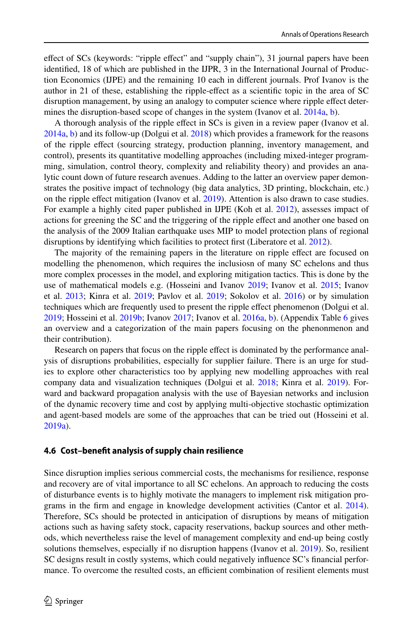efect of SCs (keywords: "ripple efect" and "supply chain"), 31 journal papers have been identifed, 18 of which are published in the IJPR, 3 in the International Journal of Production Economics (IJPE) and the remaining 10 each in diferent journals. Prof Ivanov is the author in 21 of these, establishing the ripple-efect as a scientifc topic in the area of SC disruption management, by using an analogy to computer science where ripple efect deter-mines the disruption-based scope of changes in the system (Ivanov et al. [2014a,](#page-34-0) [b](#page-34-1)).

Α thorough analysis of the ripple efect in SCs is given in a review paper (Ivanov et al. [2014a,](#page-34-0) [b](#page-34-1)) and its follow-up (Dolgui et al. [2018](#page-32-8)) which provides a framework for the reasons of the ripple efect (sourcing strategy, production planning, inventory management, and control), presents its quantitative modelling approaches (including mixed-integer programming, simulation, control theory, complexity and reliability theory) and provides an analytic count down of future research avenues. Adding to the latter an overview paper demonstrates the positive impact of technology (big data analytics, 3D printing, blockchain, etc.) on the ripple efect mitigation (Ivanov et al. [2019](#page-34-4)). Attention is also drawn to case studies. For example a highly cited paper published in IJPE (Koh et al. [2012\)](#page-35-17), assesses impact of actions for greening the SC and the triggering of the ripple efect and another one based on the analysis of the 2009 Italian earthquake uses MIP to model protection plans of regional disruptions by identifying which facilities to protect frst (Liberatore et al. [2012\)](#page-35-10).

The majority of the remaining papers in the literature on ripple efect are focused on modelling the phenomenon, which requires the inclusiosn of many SC echelons and thus more complex processes in the model, and exploring mitigation tactics. This is done by the use of mathematical models e.g. (Hosseini and Ivanov [2019;](#page-33-19) Ivanov et al. [2015](#page-34-14); Ivanov et al. [2013;](#page-34-15) Kinra et al. [2019;](#page-35-18) Pavlov et al. [2019;](#page-35-19) Sokolov et al. [2016\)](#page-36-15) or by simulation techniques which are frequently used to present the ripple efect phenomenon (Dolgui et al. [2019;](#page-32-10) Hosseini et al. [2019b](#page-34-16); Ivanov [2017;](#page-34-6) Ivanov et al. [2016a](#page-34-2), [b\)](#page-34-3). (Appendix Table [6](#page-30-0) gives an overview and a categorization of the main papers focusing on the phenonmenon and their contribution).

Research on papers that focus on the ripple efect is dominated by the performance analysis of disruptions probabilities, especially for supplier failure. There is an urge for studies to explore other characteristics too by applying new modelling approaches with real company data and visualization techniques (Dolgui et al. [2018;](#page-32-8) Kinra et al. [2019](#page-35-18)). Forward and backward propagation analysis with the use of Bayesian networks and inclusion of the dynamic recovery time and cost by applying multi-objective stochastic optimization and agent-based models are some of the approaches that can be tried out (Hosseini et al. [2019a\)](#page-33-4).

#### **4.6 Cost–beneft analysis of supply chain resilience**

Since disruption implies serious commercial costs, the mechanisms for resilience, response and recovery are of vital importance to all SC echelons. An approach to reducing the costs of disturbance events is to highly motivate the managers to implement risk mitigation programs in the frm and engage in knowledge development activities (Cantor et al. [2014](#page-32-15)). Therefore, SCs should be protected in anticipation of disruptions by means of mitigation actions such as having safety stock, capacity reservations, backup sources and other methods, which nevertheless raise the level of management complexity and end-up being costly solutions themselves, especially if no disruption happens (Ivanov et al. [2019\)](#page-34-4). So, resilient SC designs result in costly systems, which could negatively infuence SC's fnancial performance. To overcome the resulted costs, an efficient combination of resilient elements must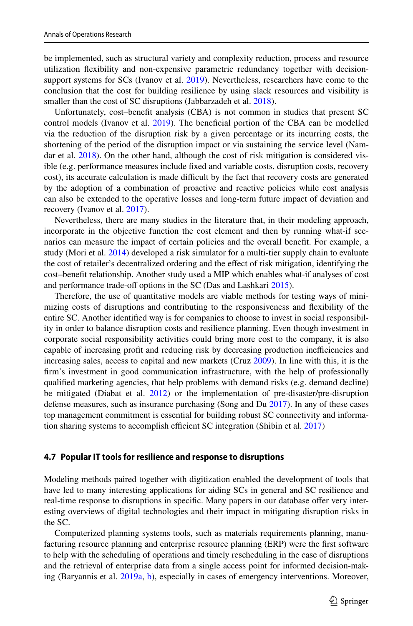be implemented, such as structural variety and complexity reduction, process and resource utilization fexibility and non-expensive parametric redundancy together with decision-support systems for SCs (Ivanov et al. [2019\)](#page-34-4). Nevertheless, researchers have come to the conclusion that the cost for building resilience by using slack resources and visibility is smaller than the cost of SC disruptions (Jabbarzadeh et al. [2018\)](#page-34-10).

Unfortunately, cost–beneft analysis (CBA) is not common in studies that present SC control models (Ivanov et al. [2019\)](#page-34-4). The beneficial portion of the CBA can be modelled via the reduction of the disruption risk by a given percentage or its incurring costs, the shortening of the period of the disruption impact or via sustaining the service level (Nam-dar et al. [2018\)](#page-35-20). On the other hand, although the cost of risk mitigation is considered visible (e.g. performance measures include fxed and variable costs, disruption costs, recovery cost), its accurate calculation is made difficult by the fact that recovery costs are generated by the adoption of a combination of proactive and reactive policies while cost analysis can also be extended to the operative losses and long-term future impact of deviation and recovery (Ivanov et al. [2017](#page-34-7)).

Nevertheless, there are many studies in the literature that, in their modeling approach, incorporate in the objective function the cost element and then by running what-if scenarios can measure the impact of certain policies and the overall beneft. For example, a study (Mori et al. [2014](#page-35-21)) developed a risk simulator for a multi-tier supply chain to evaluate the cost of retailer's decentralized ordering and the efect of risk mitigation, identifying the cost–beneft relationship. Another study used a MIP which enables what-if analyses of cost and performance trade-off options in the SC (Das and Lashkari [2015\)](#page-32-16).

Therefore, the use of quantitative models are viable methods for testing ways of minimizing costs of disruptions and contributing to the responsiveness and fexibility of the entire SC. Another identifed way is for companies to choose to invest in social responsibility in order to balance disruption costs and resilience planning. Even though investment in corporate social responsibility activities could bring more cost to the company, it is also capable of increasing profit and reducing risk by decreasing production inefficiencies and increasing sales, access to capital and new markets (Cruz [2009\)](#page-32-17). In line with this, it is the frm's investment in good communication infrastructure, with the help of professionally qualifed marketing agencies, that help problems with demand risks (e.g. demand decline) be mitigated (Diabat et al. [2012](#page-32-18)) or the implementation of pre-disaster/pre-disruption defense measures, such as insurance purchasing (Song and Du [2017\)](#page-36-22). In any of these cases top management commitment is essential for building robust SC connectivity and informa-tion sharing systems to accomplish efficient SC integration (Shibin et al. [2017\)](#page-36-23)

#### **4.7 Popular IT tools for resilience and response to disruptions**

Modeling methods paired together with digitization enabled the development of tools that have led to many interesting applications for aiding SCs in general and SC resilience and real-time response to disruptions in specifc. Many papers in our database ofer very interesting overviews of digital technologies and their impact in mitigating disruption risks in the SC.

Computerized planning systems tools, such as materials requirements planning, manufacturing resource planning and enterprise resource planning (ERP) were the frst software to help with the scheduling of operations and timely rescheduling in the case of disruptions and the retrieval of enterprise data from a single access point for informed decision-making (Baryannis et al. [2019a](#page-31-6), [b](#page-31-7)), especially in cases of emergency interventions. Moreover,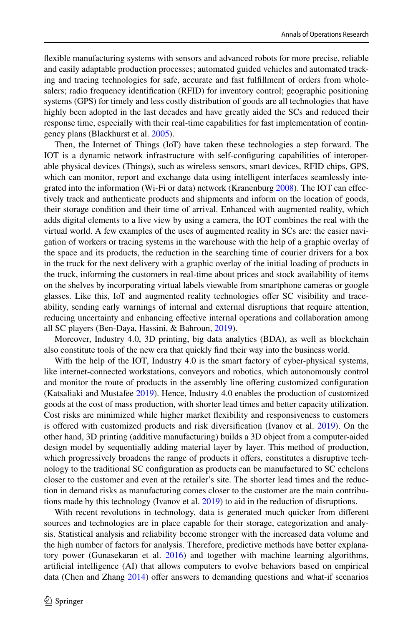fexible manufacturing systems with sensors and advanced robots for more precise, reliable and easily adaptable production processes; automated guided vehicles and automated tracking and tracing technologies for safe, accurate and fast fulfllment of orders from wholesalers; radio frequency identifcation (RFID) for inventory control; geographic positioning systems (GPS) for timely and less costly distribution of goods are all technologies that have highly been adopted in the last decades and have greatly aided the SCs and reduced their response time, especially with their real-time capabilities for fast implementation of contingency plans (Blackhurst et al. [2005](#page-31-0)).

Then, the Internet of Things (IoT) have taken these technologies a step forward. The IOT is a dynamic network infrastructure with self-confguring capabilities of interoperable physical devices (Things), such as wireless sensors, smart devices, RFID chips, GPS, which can monitor, report and exchange data using intelligent interfaces seamlessly integrated into the information (Wi-Fi or data) network (Kranenburg [2008\)](#page-35-22). The IOT can efectively track and authenticate products and shipments and inform on the location of goods, their storage condition and their time of arrival. Enhanced with augmented reality, which adds digital elements to a live view by using a camera, the IOT combines the real with the virtual world. A few examples of the uses of augmented reality in SCs are: the easier navigation of workers or tracing systems in the warehouse with the help of a graphic overlay of the space and its products, the reduction in the searching time of courier drivers for a box in the truck for the next delivery with a graphic overlay of the initial loading of products in the truck, informing the customers in real-time about prices and stock availability of items on the shelves by incorporating virtual labels viewable from smartphone cameras or google glasses. Like this, IoT and augmented reality technologies ofer SC visibility and traceability, sending early warnings of internal and external disruptions that require attention, reducing uncertainty and enhancing effective internal operations and collaboration among all SC players (Ben-Daya, Hassini, & Bahroun, [2019](#page-31-13)).

Moreover, Industry 4.0, 3D printing, big data analytics (BDA), as well as blockchain also constitute tools of the new era that quickly fnd their way into the business world.

With the help of the IOT, Industry 4.0 is the smart factory of cyber-physical systems, like internet-connected workstations, conveyors and robotics, which autonomously control and monitor the route of products in the assembly line ofering customized confguration (Katsaliaki and Mustafee [2019\)](#page-34-17). Hence, Industry 4.0 enables the production of customized goods at the cost of mass production, with shorter lead times and better capacity utilization. Cost risks are minimized while higher market fexibility and responsiveness to customers is offered with customized products and risk diversification (Ivanov et al. [2019\)](#page-34-4). On the other hand, 3D printing (additive manufacturing) builds a 3D object from a computer-aided design model by sequentially adding material layer by layer. This method of production, which progressively broadens the range of products it ofers, constitutes a disruptive technology to the traditional SC confguration as products can be manufactured to SC echelons closer to the customer and even at the retailer's site. The shorter lead times and the reduction in demand risks as manufacturing comes closer to the customer are the main contributions made by this technology (Ivanov et al. [2019](#page-34-4)) to aid in the reduction of disruptions.

With recent revolutions in technology, data is generated much quicker from diferent sources and technologies are in place capable for their storage, categorization and analysis. Statistical analysis and reliability become stronger with the increased data volume and the high number of factors for analysis. Therefore, predictive methods have better explana-tory power (Gunasekaran et al. [2016](#page-33-21)) and together with machine learning algorithms, artifcial intelligence (AI) that allows computers to evolve behaviors based on empirical data (Chen and Zhang [2014\)](#page-32-19) offer answers to demanding questions and what-if scenarios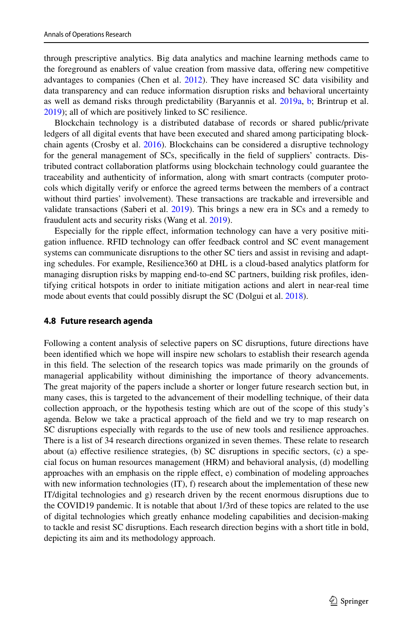through prescriptive analytics. Big data analytics and machine learning methods came to the foreground as enablers of value creation from massive data, ofering new competitive advantages to companies (Chen et al. [2012](#page-32-20)). They have increased SC data visibility and data transparency and can reduce information disruption risks and behavioral uncertainty as well as demand risks through predictability (Baryannis et al. [2019a](#page-31-6), [b;](#page-31-7) Brintrup et al. [2019\)](#page-32-21); all of which are positively linked to SC resilience.

Blockchain technology is a distributed database of records or shared public/private ledgers of all digital events that have been executed and shared among participating blockchain agents (Crosby et al. [2016\)](#page-32-22). Blockchains can be considered a disruptive technology for the general management of SCs, specifcally in the feld of suppliers' contracts. Distributed contract collaboration platforms using blockchain technology could guarantee the traceability and authenticity of information, along with smart contracts (computer protocols which digitally verify or enforce the agreed terms between the members of a contract without third parties' involvement). These transactions are trackable and irreversible and validate transactions (Saberi et al.  $2019$ ). This brings a new era in SCs and a remedy to fraudulent acts and security risks (Wang et al. [2019](#page-37-7)).

Especially for the ripple efect, information technology can have a very positive mitigation infuence. RFID technology can ofer feedback control and SC event management systems can communicate disruptions to the other SC tiers and assist in revising and adapting schedules. For example, Resilience360 at DHL is a cloud-based analytics platform for managing disruption risks by mapping end-to-end SC partners, building risk profles, identifying critical hotspots in order to initiate mitigation actions and alert in near-real time mode about events that could possibly disrupt the SC (Dolgui et al. [2018\)](#page-32-8).

#### **4.8 Future research agenda**

Following a content analysis of selective papers on SC disruptions, future directions have been identifed which we hope will inspire new scholars to establish their research agenda in this feld. The selection of the research topics was made primarily on the grounds of managerial applicability without diminishing the importance of theory advancements. The great majority of the papers include a shorter or longer future research section but, in many cases, this is targeted to the advancement of their modelling technique, of their data collection approach, or the hypothesis testing which are out of the scope of this study's agenda. Below we take a practical approach of the feld and we try to map research on SC disruptions especially with regards to the use of new tools and resilience approaches. There is a list of 34 research directions organized in seven themes. These relate to research about (a) efective resilience strategies, (b) SC disruptions in specifc sectors, (c) a special focus on human resources management (HRM) and behavioral analysis, (d) modelling approaches with an emphasis on the ripple efect, e) combination of modeling approaches with new information technologies  $(IT)$ , f) research about the implementation of these new IT/digital technologies and g) research driven by the recent enormous disruptions due to the COVID19 pandemic. It is notable that about 1/3rd of these topics are related to the use of digital technologies which greatly enhance modeling capabilities and decision-making to tackle and resist SC disruptions. Each research direction begins with a short title in bold, depicting its aim and its methodology approach.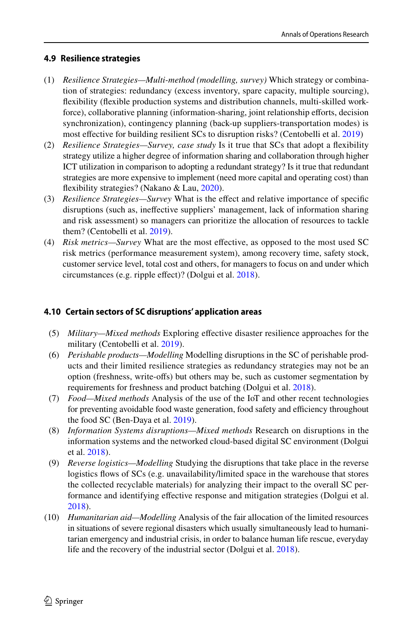### **4.9 Resilience strategies**

- (1) *Resilience Strategies—Multi-method (modelling, survey)* Which strategy or combination of strategies: redundancy (excess inventory, spare capacity, multiple sourcing), fexibility (fexible production systems and distribution channels, multi-skilled workforce), collaborative planning (information-sharing, joint relationship efforts, decision synchronization), contingency planning (back-up suppliers-transportation modes) is most efective for building resilient SCs to disruption risks? (Centobelli et al. [2019\)](#page-32-4)
- (2) *Resilience Strategies—Survey, case study* Is it true that SCs that adopt a fexibility strategy utilize a higher degree of information sharing and collaboration through higher ICT utilization in comparison to adopting a redundant strategy? Is it true that redundant strategies are more expensive to implement (need more capital and operating cost) than fexibility strategies? (Nakano & Lau, [2020](#page-35-2)).
- (3) *Resilience Strategies—Survey* What is the efect and relative importance of specifc disruptions (such as, inefective suppliers' management, lack of information sharing and risk assessment) so managers can prioritize the allocation of resources to tackle them? (Centobelli et al. [2019](#page-32-4)).
- (4) *Risk metrics—Survey* What are the most efective, as opposed to the most used SC risk metrics (performance measurement system), among recovery time, safety stock, customer service level, total cost and others, for managers to focus on and under which circumstances (e.g. ripple efect)? (Dolgui et al. [2018](#page-32-8)).

### **4.10 Certain sectors of SC disruptions' application areas**

- (5) *Military—Mixed methods* Exploring efective disaster resilience approaches for the military (Centobelli et al. [2019\)](#page-32-4).
- (6) *Perishable products—Modelling* Modelling disruptions in the SC of perishable products and their limited resilience strategies as redundancy strategies may not be an option (freshness, write-ofs) but others may be, such as customer segmentation by requirements for freshness and product batching (Dolgui et al. [2018\)](#page-32-8).
- (7) *Food—Mixed methods* Analysis of the use of the IoT and other recent technologies for preventing avoidable food waste generation, food safety and efficiency throughout the food SC (Ben-Daya et al. [2019\)](#page-31-13).
- (8) *Information Systems disruptions—Mixed methods* Research on disruptions in the information systems and the networked cloud-based digital SC environment (Dolgui et al. [2018](#page-32-8)).
- (9) *Reverse logistics—Modelling* Studying the disruptions that take place in the reverse logistics flows of SCs (e.g. unavailability/limited space in the warehouse that stores the collected recyclable materials) for analyzing their impact to the overall SC performance and identifying efective response and mitigation strategies (Dolgui et al. [2018](#page-32-8)).
- (10) *Humanitarian aid—Modelling* Analysis of the fair allocation of the limited resources in situations of severe regional disasters which usually simultaneously lead to humanitarian emergency and industrial crisis, in order to balance human life rescue, everyday life and the recovery of the industrial sector (Dolgui et al. [2018\)](#page-32-8).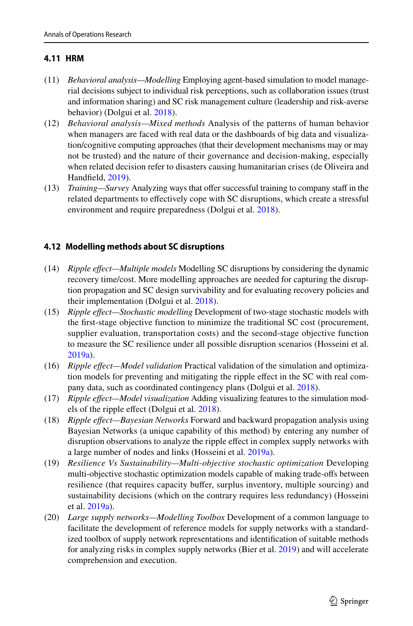### **4.11 HRM**

- (11) *Behavioral analysis—Modelling* Employing agent-based simulation to model managerial decisions subject to individual risk perceptions, such as collaboration issues (trust and information sharing) and SC risk management culture (leadership and risk-averse behavior) (Dolgui et al. [2018](#page-32-8)).
- (12) *Behavioral analysis—Mixed methods* Analysis of the patterns of human behavior when managers are faced with real data or the dashboards of big data and visualization/cognitive computing approaches (that their development mechanisms may or may not be trusted) and the nature of their governance and decision-making, especially when related decision refer to disasters causing humanitarian crises (de Oliveira and Handfeld, [2019\)](#page-32-23).
- (13) *Training—Survey* Analyzing ways that ofer successful training to company staf in the related departments to efectively cope with SC disruptions, which create a stressful environment and require preparedness (Dolgui et al. [2018\)](#page-32-8).

### **4.12 Modelling methods about SC disruptions**

- (14) *Ripple efect—Multiple models* Modelling SC disruptions by considering the dynamic recovery time/cost. More modelling approaches are needed for capturing the disruption propagation and SC design survivability and for evaluating recovery policies and their implementation (Dolgui et al. [2018](#page-32-8)).
- (15) *Ripple efect—Stochastic modelling* Development of two-stage stochastic models with the frst-stage objective function to minimize the traditional SC cost (procurement, supplier evaluation, transportation costs) and the second-stage objective function to measure the SC resilience under all possible disruption scenarios (Hosseini et al. [2019a\)](#page-33-4).
- (16) *Ripple efect—Model validation* Practical validation of the simulation and optimization models for preventing and mitigating the ripple efect in the SC with real company data, such as coordinated contingency plans (Dolgui et al. [2018](#page-32-8)).
- (17) *Ripple efect—Model visualization* Adding visualizing features to the simulation models of the ripple efect (Dolgui et al. [2018](#page-32-8)).
- (18) *Ripple efect—Bayesian Networks* Forward and backward propagation analysis using Bayesian Networks (a unique capability of this method) by entering any number of disruption observations to analyze the ripple efect in complex supply networks with a large number of nodes and links (Hosseini et al. [2019a](#page-33-4)).
- (19) *Resilience Vs Sustainability—Multi-objective stochastic optimization* Developing multi-objective stochastic optimization models capable of making trade-ofs between resilience (that requires capacity bufer, surplus inventory, multiple sourcing) and sustainability decisions (which on the contrary requires less redundancy) (Hosseini et al. [2019a](#page-33-4)).
- (20) *Large supply networks—Modelling Toolbox* Development of a common language to facilitate the development of reference models for supply networks with a standardized toolbox of supply network representations and identifcation of suitable methods for analyzing risks in complex supply networks (Bier et al. [2019\)](#page-31-5) and will accelerate comprehension and execution.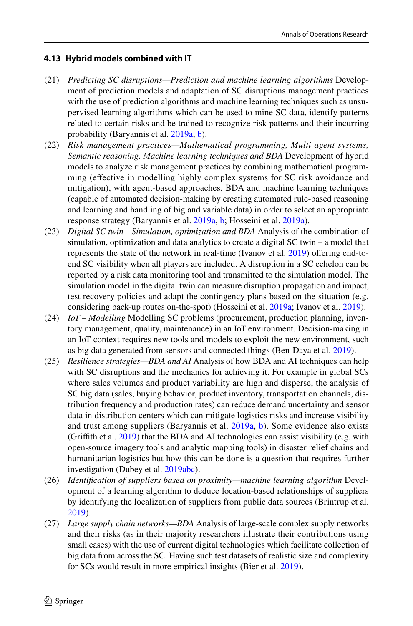### **4.13 Hybrid models combined with IT**

- (21) *Predicting SC disruptions—Prediction and machine learning algorithms* Development of prediction models and adaptation of SC disruptions management practices with the use of prediction algorithms and machine learning techniques such as unsupervised learning algorithms which can be used to mine SC data, identify patterns related to certain risks and be trained to recognize risk patterns and their incurring probability (Baryannis et al. [2019a](#page-31-6), [b\)](#page-31-7).
- (22) *Risk management practices—Mathematical programming, Multi agent systems, Semantic reasoning, Machine learning techniques and BDA* Development of hybrid models to analyze risk management practices by combining mathematical programming (efective in modelling highly complex systems for SC risk avoidance and mitigation), with agent-based approaches, BDA and machine learning techniques (capable of automated decision-making by creating automated rule-based reasoning and learning and handling of big and variable data) in order to select an appropriate response strategy (Baryannis et al. [2019a,](#page-31-6) [b](#page-31-7); Hosseini et al. [2019a](#page-33-4)).
- (23) *Digital SC twin—Simulation, optimization and BDA* Analysis of the combination of simulation, optimization and data analytics to create a digital SC twin – a model that represents the state of the network in real-time (Ivanov et al. [2019](#page-34-4)) offering end-toend SC visibility when all players are included. A disruption in a SC echelon can be reported by a risk data monitoring tool and transmitted to the simulation model. The simulation model in the digital twin can measure disruption propagation and impact, test recovery policies and adapt the contingency plans based on the situation (e.g. considering back-up routes on-the-spot) (Hosseini et al. [2019a;](#page-33-4) Ivanov et al. [2019](#page-34-4)).
- (24) *IoT Modelling* Modelling SC problems (procurement, production planning, inventory management, quality, maintenance) in an IoT environment. Decision-making in an IoT context requires new tools and models to exploit the new environment, such as big data generated from sensors and connected things (Ben-Daya et al. [2019\)](#page-31-13).
- (25) *Resilience strategies—BDA and AI* Analysis of how BDA and AI techniques can help with SC disruptions and the mechanics for achieving it. For example in global SCs where sales volumes and product variability are high and disperse, the analysis of SC big data (sales, buying behavior, product inventory, transportation channels, distribution frequency and production rates) can reduce demand uncertainty and sensor data in distribution centers which can mitigate logistics risks and increase visibility and trust among suppliers (Baryannis et al. [2019a](#page-31-6), [b](#page-31-7)). Some evidence also exists (Grifth et al. [2019](#page-33-14)) that the BDA and AI technologies can assist visibility (e.g. with open-source imagery tools and analytic mapping tools) in disaster relief chains and humanitarian logistics but how this can be done is a question that requires further investigation (Dubey et al. [2019a](#page-32-1)[b](#page-32-2)[c\)](#page-33-1).
- (26) *Identifcation of suppliers based on proximity—machine learning algorithm* Development of a learning algorithm to deduce location-based relationships of suppliers by identifying the localization of suppliers from public data sources (Brintrup et al. [2019](#page-32-21)).
- (27) *Large supply chain networks—BDA* Analysis of large-scale complex supply networks and their risks (as in their majority researchers illustrate their contributions using small cases) with the use of current digital technologies which facilitate collection of big data from across the SC. Having such test datasets of realistic size and complexity for SCs would result in more empirical insights (Bier et al. [2019\)](#page-31-5).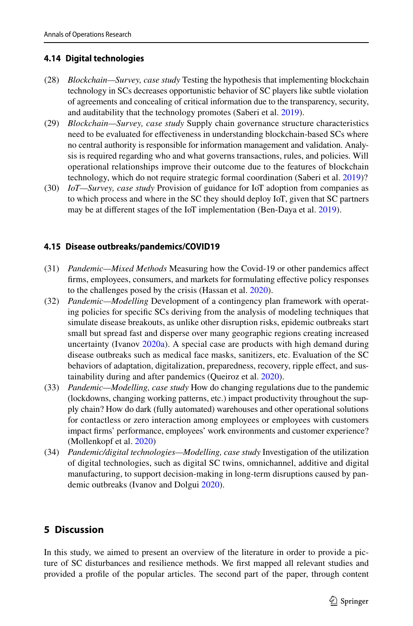### **4.14 Digital technologies**

- (28) *Blockchain—Survey, case study* Testing the hypothesis that implementing blockchain technology in SCs decreases opportunistic behavior of SC players like subtle violation of agreements and concealing of critical information due to the transparency, security, and auditability that the technology promotes (Saberi et al. [2019\)](#page-36-4).
- (29) *Blockchain—Survey, case study* Supply chain governance structure characteristics need to be evaluated for efectiveness in understanding blockchain-based SCs where no central authority is responsible for information management and validation. Analysis is required regarding who and what governs transactions, rules, and policies. Will operational relationships improve their outcome due to the features of blockchain technology, which do not require strategic formal coordination (Saberi et al. [2019](#page-36-4))?
- (30) *IoT—Survey, case study* Provision of guidance for IoT adoption from companies as to which process and where in the SC they should deploy IoT, given that SC partners may be at diferent stages of the IoT implementation (Ben-Daya et al. [2019](#page-31-13)).

### **4.15 Disease outbreaks/pandemics/COVID19**

- (31) *Pandemic—Mixed Methods* Measuring how the Covid-19 or other pandemics afect frms, employees, consumers, and markets for formulating efective policy responses to the challenges posed by the crisis (Hassan et al. [2020](#page-33-22)).
- (32) *Pandemic—Modelling* Development of a contingency plan framework with operating policies for specifc SCs deriving from the analysis of modeling techniques that simulate disease breakouts, as unlike other disruption risks, epidemic outbreaks start small but spread fast and disperse over many geographic regions creating increased uncertainty (Ivanov [2020a](#page-34-8)). A special case are products with high demand during disease outbreaks such as medical face masks, sanitizers, etc. Evaluation of the SC behaviors of adaptation, digitalization, preparedness, recovery, ripple effect, and sustainability during and after pandemics (Queiroz et al. [2020](#page-36-24)).
- (33) *Pandemic—Modelling, case study* How do changing regulations due to the pandemic (lockdowns, changing working patterns, etc.) impact productivity throughout the supply chain? How do dark (fully automated) warehouses and other operational solutions for contactless or zero interaction among employees or employees with customers impact frms' performance, employees' work environments and customer experience? (Mollenkopf et al. [2020\)](#page-35-23)
- (34) *Pandemic/digital technologies—Modelling, case study* Investigation of the utilization of digital technologies, such as digital SC twins, omnichannel, additive and digital manufacturing, to support decision-making in long-term disruptions caused by pandemic outbreaks (Ivanov and Dolgui [2020\)](#page-34-18).

### **5 Discussion**

In this study, we aimed to present an overview of the literature in order to provide a picture of SC disturbances and resilience methods. We frst mapped all relevant studies and provided a profle of the popular articles. The second part of the paper, through content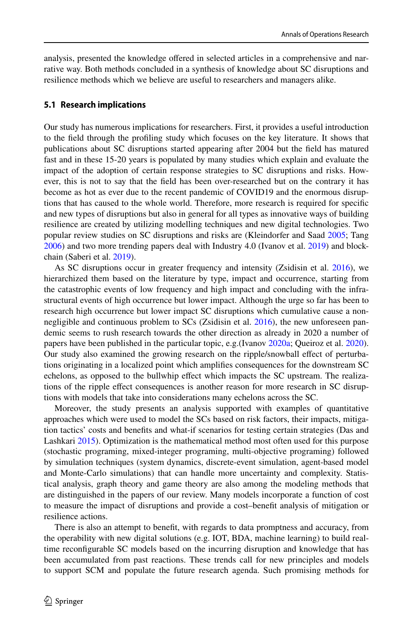analysis, presented the knowledge ofered in selected articles in a comprehensive and narrative way. Both methods concluded in a synthesis of knowledge about SC disruptions and resilience methods which we believe are useful to researchers and managers alike.

#### **5.1 Research implications**

Our study has numerous implications for researchers. First, it provides a useful introduction to the feld through the profling study which focuses on the key literature. It shows that publications about SC disruptions started appearing after 2004 but the feld has matured fast and in these 15-20 years is populated by many studies which explain and evaluate the impact of the adoption of certain response strategies to SC disruptions and risks. However, this is not to say that the feld has been over-researched but on the contrary it has become as hot as ever due to the recent pandemic of COVID19 and the enormous disruptions that has caused to the whole world. Therefore, more research is required for specifc and new types of disruptions but also in general for all types as innovative ways of building resilience are created by utilizing modelling techniques and new digital technologies. Two popular review studies on SC disruptions and risks are (Kleindorfer and Saad [2005;](#page-35-1) Tang [2006\)](#page-36-2) and two more trending papers deal with Industry 4.0 (Ivanov et al. [2019\)](#page-34-4) and blockchain (Saberi et al. [2019](#page-36-4)).

As SC disruptions occur in greater frequency and intensity (Zsidisin et al. [2016\)](#page-37-3), we hierarchized them based on the literature by type, impact and occurrence, starting from the catastrophic events of low frequency and high impact and concluding with the infrastructural events of high occurrence but lower impact. Although the urge so far has been to research high occurrence but lower impact SC disruptions which cumulative cause a nonnegligible and continuous problem to SCs (Zsidisin et al. [2016\)](#page-37-3), the new unforeseen pandemic seems to rush research towards the other direction as already in 2020 a number of papers have been published in the particular topic, e.g.(Ivanov [2020a](#page-34-8); Queiroz et al. [2020](#page-36-24)). Our study also examined the growing research on the ripple/snowball efect of perturbations originating in a localized point which amplifes consequences for the downstream SC echelons, as opposed to the bullwhip effect which impacts the SC upstream. The realizations of the ripple efect consequences is another reason for more research in SC disruptions with models that take into considerations many echelons across the SC.

Moreover, the study presents an analysis supported with examples of quantitative approaches which were used to model the SCs based on risk factors, their impacts, mitigation tactics' costs and benefts and what-if scenarios for testing certain strategies (Das and Lashkari [2015\)](#page-32-16). Optimization is the mathematical method most often used for this purpose (stochastic programing, mixed-integer programing, multi-objective programing) followed by simulation techniques (system dynamics, discrete-event simulation, agent-based model and Monte-Carlo simulations) that can handle more uncertainty and complexity. Statistical analysis, graph theory and game theory are also among the modeling methods that are distinguished in the papers of our review. Many models incorporate a function of cost to measure the impact of disruptions and provide a cost–beneft analysis of mitigation or resilience actions.

There is also an attempt to beneft, with regards to data promptness and accuracy, from the operability with new digital solutions (e.g. IOT, BDA, machine learning) to build realtime reconfgurable SC models based on the incurring disruption and knowledge that has been accumulated from past reactions. These trends call for new principles and models to support SCM and populate the future research agenda. Such promising methods for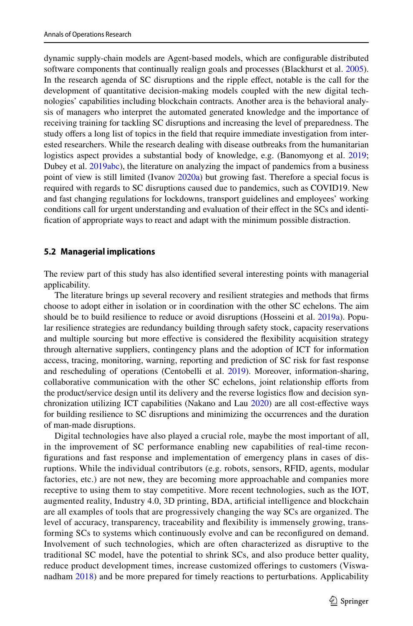dynamic supply-chain models are Agent-based models, which are confgurable distributed software components that continually realign goals and processes (Blackhurst et al. [2005](#page-31-0)). In the research agenda of SC disruptions and the ripple efect, notable is the call for the development of quantitative decision-making models coupled with the new digital technologies' capabilities including blockchain contracts. Another area is the behavioral analysis of managers who interpret the automated generated knowledge and the importance of receiving training for tackling SC disruptions and increasing the level of preparedness. The study offers a long list of topics in the field that require immediate investigation from interested researchers. While the research dealing with disease outbreaks from the humanitarian logistics aspect provides a substantial body of knowledge, e.g. (Banomyong et al. [2019;](#page-31-10) Dubey et al. [2019a](#page-32-1)[b](#page-32-2)[c](#page-33-1)), the literature on analyzing the impact of pandemics from a business point of view is still limited (Ivanov [2020a\)](#page-34-8) but growing fast. Therefore a special focus is required with regards to SC disruptions caused due to pandemics, such as COVID19. New and fast changing regulations for lockdowns, transport guidelines and employees' working conditions call for urgent understanding and evaluation of their efect in the SCs and identifcation of appropriate ways to react and adapt with the minimum possible distraction.

#### **5.2 Managerial implications**

The review part of this study has also identifed several interesting points with managerial applicability.

The literature brings up several recovery and resilient strategies and methods that frms choose to adopt either in isolation or in coordination with the other SC echelons. The aim should be to build resilience to reduce or avoid disruptions (Hosseini et al. [2019a\)](#page-33-4). Popular resilience strategies are redundancy building through safety stock, capacity reservations and multiple sourcing but more efective is considered the fexibility acquisition strategy through alternative suppliers, contingency plans and the adoption of ICT for information access, tracing, monitoring, warning, reporting and prediction of SC risk for fast response and rescheduling of operations (Centobelli et al. [2019\)](#page-32-4). Moreover, information-sharing, collaborative communication with the other SC echelons, joint relationship eforts from the product/service design until its delivery and the reverse logistics fow and decision synchronization utilizing ICT capabilities (Nakano and Lau [2020](#page-35-2)) are all cost-efective ways for building resilience to SC disruptions and minimizing the occurrences and the duration of man-made disruptions.

Digital technologies have also played a crucial role, maybe the most important of all, in the improvement of SC performance enabling new capabilities of real-time reconfgurations and fast response and implementation of emergency plans in cases of disruptions. While the individual contributors (e.g. robots, sensors, RFID, agents, modular factories, etc.) are not new, they are becoming more approachable and companies more receptive to using them to stay competitive. More recent technologies, such as the IOT, augmented reality, Industry 4.0, 3D printing, BDA, artifcial intelligence and blockchain are all examples of tools that are progressively changing the way SCs are organized. The level of accuracy, transparency, traceability and fexibility is immensely growing, transforming SCs to systems which continuously evolve and can be reconfgured on demand. Involvement of such technologies, which are often characterized as disruptive to the traditional SC model, have the potential to shrink SCs, and also produce better quality, reduce product development times, increase customized oferings to customers (Viswanadham [2018\)](#page-36-25) and be more prepared for timely reactions to perturbations. Applicability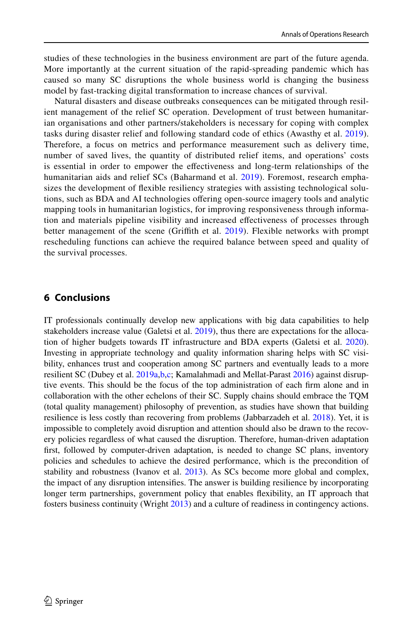studies of these technologies in the business environment are part of the future agenda. More importantly at the current situation of the rapid-spreading pandemic which has caused so many SC disruptions the whole business world is changing the business model by fast-tracking digital transformation to increase chances of survival.

Natural disasters and disease outbreaks consequences can be mitigated through resilient management of the relief SC operation. Development of trust between humanitarian organisations and other partners/stakeholders is necessary for coping with complex tasks during disaster relief and following standard code of ethics (Awasthy et al. [2019\)](#page-31-14). Therefore, a focus on metrics and performance measurement such as delivery time, number of saved lives, the quantity of distributed relief items, and operations' costs is essential in order to empower the efectiveness and long-term relationships of the humanitarian aids and relief SCs (Baharmand et al. [2019](#page-31-11)). Foremost, research emphasizes the development of fexible resiliency strategies with assisting technological solutions, such as BDA and AI technologies ofering open-source imagery tools and analytic mapping tools in humanitarian logistics, for improving responsiveness through information and materials pipeline visibility and increased efectiveness of processes through better management of the scene (Grifth et al. [2019\)](#page-33-14). Flexible networks with prompt rescheduling functions can achieve the required balance between speed and quality of the survival processes.

### **6 Conclusions**

IT professionals continually develop new applications with big data capabilities to help stakeholders increase value (Galetsi et al. [2019](#page-33-23)), thus there are expectations for the allocation of higher budgets towards IT infrastructure and BDA experts (Galetsi et al. [2020](#page-33-24)). Investing in appropriate technology and quality information sharing helps with SC visibility, enhances trust and cooperation among SC partners and eventually leads to a more resilient SC (Dubey et al. [2019a](#page-32-1),[b](#page-32-2),[c;](#page-33-1) Kamalahmadi and Mellat-Parast [2016\)](#page-34-9) against disruptive events. This should be the focus of the top administration of each frm alone and in collaboration with the other echelons of their SC. Supply chains should embrace the TQM (total quality management) philosophy of prevention, as studies have shown that building resilience is less costly than recovering from problems (Jabbarzadeh et al. [2018\)](#page-34-10). Yet, it is impossible to completely avoid disruption and attention should also be drawn to the recovery policies regardless of what caused the disruption. Therefore, human-driven adaptation frst, followed by computer-driven adaptation, is needed to change SC plans, inventory policies and schedules to achieve the desired performance, which is the precondition of stability and robustness (Ivanov et al. [2013\)](#page-34-15). As SCs become more global and complex, the impact of any disruption intensifes. The answer is building resilience by incorporating longer term partnerships, government policy that enables fexibility, an IT approach that fosters business continuity (Wright [2013\)](#page-37-1) and a culture of readiness in contingency actions.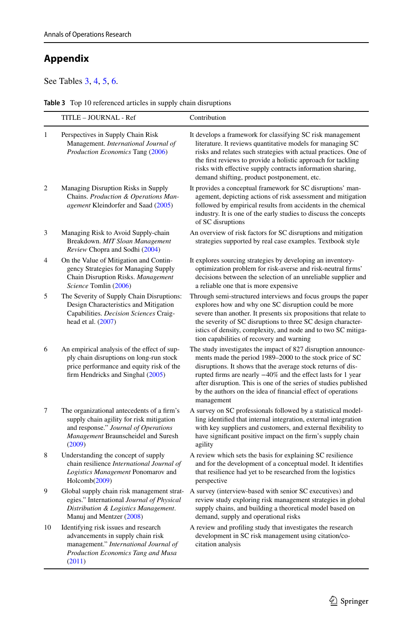# **Appendix**

See Tables [3,](#page-26-0) [4](#page-27-0), [5,](#page-28-0) [6](#page-30-0).

<span id="page-26-0"></span>

| Table 3 Top 10 referenced articles in supply chain disruptions |  |
|----------------------------------------------------------------|--|
|----------------------------------------------------------------|--|

|                | TITLE – JOURNAL - Ref                                                                                                                                                           | Contribution                                                                                                                                                                                                                                                                                                                                                                                                |
|----------------|---------------------------------------------------------------------------------------------------------------------------------------------------------------------------------|-------------------------------------------------------------------------------------------------------------------------------------------------------------------------------------------------------------------------------------------------------------------------------------------------------------------------------------------------------------------------------------------------------------|
| 1              | Perspectives in Supply Chain Risk<br>Management. International Journal of<br>Production Economics Tang (2006)                                                                   | It develops a framework for classifying SC risk management<br>literature. It reviews quantitative models for managing SC<br>risks and relates such strategies with actual practices. One of<br>the first reviews to provide a holistic approach for tackling<br>risks with effective supply contracts information sharing,<br>demand shifting, product postponement, etc.                                   |
| $\overline{2}$ | Managing Disruption Risks in Supply<br>Chains. Production & Operations Man-<br>agement Kleindorfer and Saad (2005)                                                              | It provides a conceptual framework for SC disruptions' man-<br>agement, depicting actions of risk assessment and mitigation<br>followed by empirical results from accidents in the chemical<br>industry. It is one of the early studies to discuss the concepts<br>of SC disruptions                                                                                                                        |
| 3              | Managing Risk to Avoid Supply-chain<br>Breakdown. MIT Sloan Management<br>Review Chopra and Sodhi (2004)                                                                        | An overview of risk factors for SC disruptions and mitigation<br>strategies supported by real case examples. Textbook style                                                                                                                                                                                                                                                                                 |
| 4              | On the Value of Mitigation and Contin-<br>gency Strategies for Managing Supply<br>Chain Disruption Risks. Management<br>Science Tomlin (2006)                                   | It explores sourcing strategies by developing an inventory-<br>optimization problem for risk-averse and risk-neutral firms'<br>decisions between the selection of an unreliable supplier and<br>a reliable one that is more expensive                                                                                                                                                                       |
| 5              | The Severity of Supply Chain Disruptions:<br>Design Characteristics and Mitigation<br>Capabilities. Decision Sciences Craig-<br>head et al. (2007)                              | Through semi-structured interviews and focus groups the paper<br>explores how and why one SC disruption could be more<br>severe than another. It presents six propositions that relate to<br>the severity of SC disruptions to three SC design character-<br>istics of density, complexity, and node and to two SC mitiga-<br>tion capabilities of recovery and warning                                     |
| 6              | An empirical analysis of the effect of sup-<br>ply chain disruptions on long-run stock<br>price performance and equity risk of the<br>firm Hendricks and Singhal (2005)         | The study investigates the impact of 827 disruption announce-<br>ments made the period 1989-2000 to the stock price of SC<br>disruptions. It shows that the average stock returns of dis-<br>rupted firms are nearly -40% and the effect lasts for 1 year<br>after disruption. This is one of the series of studies published<br>by the authors on the idea of financial effect of operations<br>management |
| 7              | The organizational antecedents of a firm's<br>supply chain agility for risk mitigation<br>and response." Journal of Operations<br>Management Braunscheidel and Suresh<br>(2009) | A survey on SC professionals followed by a statistical model-<br>ling identified that internal integration, external integration<br>with key suppliers and customers, and external flexibility to<br>have significant positive impact on the firm's supply chain<br>agility                                                                                                                                 |
| 8              | Understanding the concept of supply<br>chain resilience International Journal of<br>Logistics Management Ponomarov and<br>Holcomb(2009)                                         | A review which sets the basis for explaining SC resilience<br>and for the development of a conceptual model. It identifies<br>that resilience had yet to be researched from the logistics<br>perspective                                                                                                                                                                                                    |
| 9              | Global supply chain risk management strat-<br>egies." International Journal of Physical<br>Distribution & Logistics Management.<br>Manuj and Mentzer (2008)                     | A survey (interview-based with senior SC executives) and<br>review study exploring risk management strategies in global<br>supply chains, and building a theoretical model based on<br>demand, supply and operational risks                                                                                                                                                                                 |
| 10             | Identifying risk issues and research<br>advancements in supply chain risk<br>management." International Journal of<br>Production Economics Tang and Musa<br>(2011)              | A review and profiling study that investigates the research<br>development in SC risk management using citation/co-<br>citation analysis                                                                                                                                                                                                                                                                    |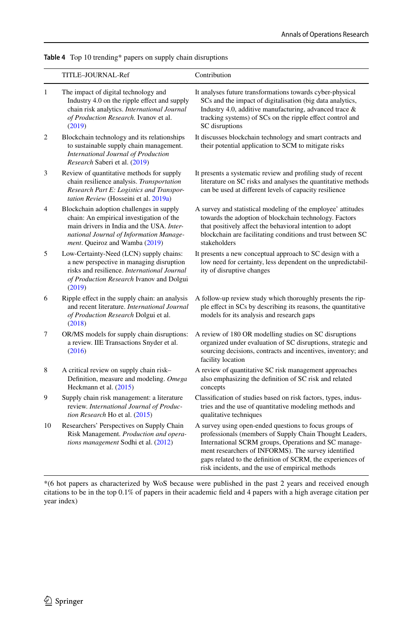<span id="page-27-0"></span>**Table 4** Top 10 trending\* papers on supply chain disruptions

|                | TITLE-JOURNAL-Ref                                                                                                                                                                                              | Contribution                                                                                                                                                                                                                                                                                                                                       |
|----------------|----------------------------------------------------------------------------------------------------------------------------------------------------------------------------------------------------------------|----------------------------------------------------------------------------------------------------------------------------------------------------------------------------------------------------------------------------------------------------------------------------------------------------------------------------------------------------|
| 1              | The impact of digital technology and<br>Industry 4.0 on the ripple effect and supply<br>chain risk analytics. International Journal<br>of Production Research. Ivanov et al.<br>(2019)                         | It analyses future transformations towards cyber-physical<br>SCs and the impact of digitalisation (big data analytics,<br>Industry 4.0, additive manufacturing, advanced trace &<br>tracking systems) of SCs on the ripple effect control and<br>SC disruptions                                                                                    |
| $\overline{2}$ | Blockchain technology and its relationships<br>to sustainable supply chain management.<br>International Journal of Production<br>Research Saberi et al. (2019)                                                 | It discusses blockchain technology and smart contracts and<br>their potential application to SCM to mitigate risks                                                                                                                                                                                                                                 |
| 3              | Review of quantitative methods for supply<br>chain resilience analysis. Transportation<br>Research Part E: Logistics and Transpor-<br>tation Review (Hosseini et al. 2019a)                                    | It presents a systematic review and profiling study of recent<br>literature on SC risks and analyses the quantitative methods<br>can be used at different levels of capacity resilience                                                                                                                                                            |
| 4              | Blockchain adoption challenges in supply<br>chain: An empirical investigation of the<br>main drivers in India and the USA. Inter-<br>national Journal of Information Manage-<br>ment. Queiroz and Wamba (2019) | A survey and statistical modeling of the employee' attitudes<br>towards the adoption of blockchain technology. Factors<br>that positively affect the behavioral intention to adopt<br>blockchain are facilitating conditions and trust between SC<br>stakeholders                                                                                  |
| 5              | Low-Certainty-Need (LCN) supply chains:<br>a new perspective in managing disruption<br>risks and resilience. International Journal<br>of Production Research Ivanov and Dolgui<br>(2019)                       | It presents a new conceptual approach to SC design with a<br>low need for certainty, less dependent on the unpredictabil-<br>ity of disruptive changes                                                                                                                                                                                             |
| 6              | Ripple effect in the supply chain: an analysis<br>and recent literature. International Journal<br>of Production Research Dolgui et al.<br>(2018)                                                               | A follow-up review study which thoroughly presents the rip-<br>ple effect in SCs by describing its reasons, the quantitative<br>models for its analysis and research gaps                                                                                                                                                                          |
| 7              | OR/MS models for supply chain disruptions:<br>a review. IIE Transactions Snyder et al.<br>(2016)                                                                                                               | A review of 180 OR modelling studies on SC disruptions<br>organized under evaluation of SC disruptions, strategic and<br>sourcing decisions, contracts and incentives, inventory; and<br>facility location                                                                                                                                         |
| 8              | A critical review on supply chain risk-<br>Definition, measure and modeling. Omega<br>Heckmann et al. (2015)                                                                                                   | A review of quantitative SC risk management approaches<br>also emphasizing the definition of SC risk and related<br>concepts                                                                                                                                                                                                                       |
| 9              | Supply chain risk management: a literature<br>review. International Journal of Produc-<br>tion Research Ho et al. (2015)                                                                                       | Classification of studies based on risk factors, types, indus-<br>tries and the use of quantitative modeling methods and<br>qualitative techniques                                                                                                                                                                                                 |
| 10             | Researchers' Perspectives on Supply Chain<br>Risk Management. Production and opera-<br>tions management Sodhi et al. (2012)                                                                                    | A survey using open-ended questions to focus groups of<br>professionals (members of Supply Chain Thought Leaders,<br>International SCRM groups, Operations and SC manage-<br>ment researchers of INFORMS). The survey identified<br>gaps related to the definition of SCRM, the experiences of<br>risk incidents, and the use of empirical methods |
|                |                                                                                                                                                                                                                |                                                                                                                                                                                                                                                                                                                                                    |

\*(6 hot papers as characterized by WoS because were published in the past 2 years and received enough citations to be in the top 0.1% of papers in their academic feld and 4 papers with a high average citation per year index)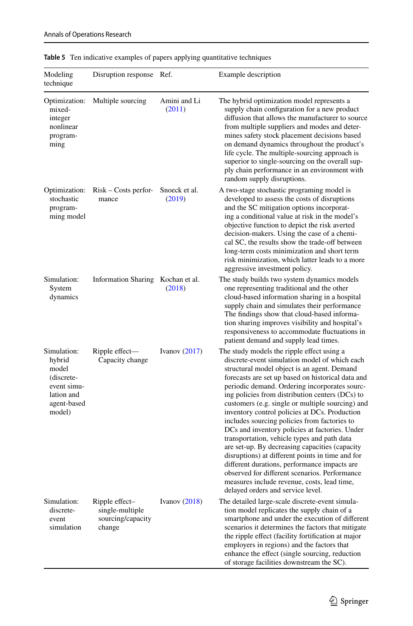| Modeling<br>technique                                                                              | Disruption response                                              | Ref.                    | Example description                                                                                                                                                                                                                                                                                                                                                                                                                                                                                                                                                                                                                                                                                                                                                                                                                                  |
|----------------------------------------------------------------------------------------------------|------------------------------------------------------------------|-------------------------|------------------------------------------------------------------------------------------------------------------------------------------------------------------------------------------------------------------------------------------------------------------------------------------------------------------------------------------------------------------------------------------------------------------------------------------------------------------------------------------------------------------------------------------------------------------------------------------------------------------------------------------------------------------------------------------------------------------------------------------------------------------------------------------------------------------------------------------------------|
| Optimization:<br>mixed-<br>integer<br>nonlinear<br>program-<br>ming                                | Multiple sourcing                                                | Amini and Li<br>(2011)  | The hybrid optimization model represents a<br>supply chain configuration for a new product<br>diffusion that allows the manufacturer to source<br>from multiple suppliers and modes and deter-<br>mines safety stock placement decisions based<br>on demand dynamics throughout the product's<br>life cycle. The multiple-sourcing approach is<br>superior to single-sourcing on the overall sup-<br>ply chain performance in an environment with<br>random supply disruptions.                                                                                                                                                                                                                                                                                                                                                                      |
| Optimization:<br>stochastic<br>program-<br>ming model                                              | $Risk - Costs$ perfor-<br>mance                                  | Snoeck et al.<br>(2019) | A two-stage stochastic programing model is<br>developed to assess the costs of disruptions<br>and the SC mitigation options incorporat-<br>ing a conditional value at risk in the model's<br>objective function to depict the risk averted<br>decision-makers. Using the case of a chemi-<br>cal SC, the results show the trade-off between<br>long-term costs minimization and short term<br>risk minimization, which latter leads to a more<br>aggressive investment policy.                                                                                                                                                                                                                                                                                                                                                                       |
| Simulation:<br>System<br>dynamics                                                                  | Information Sharing Kochan et al.                                | (2018)                  | The study builds two system dynamics models<br>one representing traditional and the other<br>cloud-based information sharing in a hospital<br>supply chain and simulates their performance<br>The findings show that cloud-based informa-<br>tion sharing improves visibility and hospital's<br>responsiveness to accommodate fluctuations in<br>patient demand and supply lead times.                                                                                                                                                                                                                                                                                                                                                                                                                                                               |
| Simulation:<br>hybrid<br>model<br>(discrete-<br>event simu-<br>lation and<br>agent-based<br>model) | Ripple effect—<br>Capacity change                                | Ivanov $(2017)$         | The study models the ripple effect using a<br>discrete-event simulation model of which each<br>structural model object is an agent. Demand<br>forecasts are set up based on historical data and<br>periodic demand. Ordering incorporates sourc-<br>ing policies from distribution centers (DCs) to<br>customers (e.g. single or multiple sourcing) and<br>inventory control policies at DCs. Production<br>includes sourcing policies from factories to<br>DCs and inventory policies at factories. Under<br>transportation, vehicle types and path data<br>are set-up. By decreasing capacities (capacity<br>disruptions) at different points in time and for<br>different durations, performance impacts are<br>observed for different scenarios. Performance<br>measures include revenue, costs, lead time,<br>delayed orders and service level. |
| Simulation:<br>discrete-<br>event<br>simulation                                                    | Ripple effect-<br>single-multiple<br>sourcing/capacity<br>change | Ivanov $(2018)$         | The detailed large-scale discrete-event simula-<br>tion model replicates the supply chain of a<br>smartphone and under the execution of different<br>scenarios it determines the factors that mitigate<br>the ripple effect (facility fortification at major<br>employers in regions) and the factors that<br>enhance the effect (single sourcing, reduction<br>of storage facilities downstream the SC).                                                                                                                                                                                                                                                                                                                                                                                                                                            |

### <span id="page-28-0"></span>**Table 5** Ten indicative examples of papers applying quantitative techniques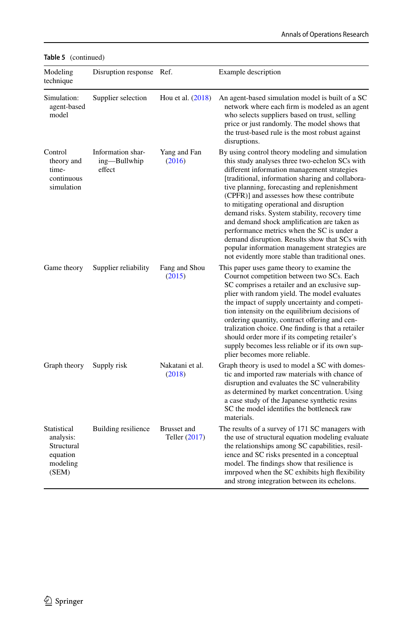| Modeling<br>technique                                                   | Disruption response                         | Ref.                         | Example description                                                                                                                                                                                                                                                                                                                                                                                                                                                                                                                                                                                                                               |
|-------------------------------------------------------------------------|---------------------------------------------|------------------------------|---------------------------------------------------------------------------------------------------------------------------------------------------------------------------------------------------------------------------------------------------------------------------------------------------------------------------------------------------------------------------------------------------------------------------------------------------------------------------------------------------------------------------------------------------------------------------------------------------------------------------------------------------|
| Simulation:<br>agent-based<br>model                                     | Supplier selection                          | Hou et al. (2018)            | An agent-based simulation model is built of a SC<br>network where each firm is modeled as an agent<br>who selects suppliers based on trust, selling<br>price or just randomly. The model shows that<br>the trust-based rule is the most robust against<br>disruptions.                                                                                                                                                                                                                                                                                                                                                                            |
| Control<br>theory and<br>time-<br>continuous<br>simulation              | Information shar-<br>ing—Bullwhip<br>effect | Yang and Fan<br>(2016)       | By using control theory modeling and simulation<br>this study analyses three two-echelon SCs with<br>different information management strategies<br>[traditional, information sharing and collabora-<br>tive planning, forecasting and replenishment<br>(CPFR)] and assesses how these contribute<br>to mitigating operational and disruption<br>demand risks. System stability, recovery time<br>and demand shock amplification are taken as<br>performance metrics when the SC is under a<br>demand disruption. Results show that SCs with<br>popular information management strategies are<br>not evidently more stable than traditional ones. |
| Game theory                                                             | Supplier reliability                        | Fang and Shou<br>(2015)      | This paper uses game theory to examine the<br>Cournot competition between two SCs. Each<br>SC comprises a retailer and an exclusive sup-<br>plier with random yield. The model evaluates<br>the impact of supply uncertainty and competi-<br>tion intensity on the equilibrium decisions of<br>ordering quantity, contract offering and cen-<br>tralization choice. One finding is that a retailer<br>should order more if its competing retailer's<br>supply becomes less reliable or if its own sup-<br>plier becomes more reliable.                                                                                                            |
| Graph theory                                                            | Supply risk                                 | Nakatani et al.<br>(2018)    | Graph theory is used to model a SC with domes-<br>tic and imported raw materials with chance of<br>disruption and evaluates the SC vulnerability<br>as determined by market concentration. Using<br>a case study of the Japanese synthetic resins<br>SC the model identifies the bottleneck raw<br>materials.                                                                                                                                                                                                                                                                                                                                     |
| Statistical<br>analysis:<br>Structural<br>equation<br>modeling<br>(SEM) | Building resilience                         | Brusset and<br>Teller (2017) | The results of a survey of 171 SC managers with<br>the use of structural equation modeling evaluate<br>the relationships among SC capabilities, resil-<br>ience and SC risks presented in a conceptual<br>model. The findings show that resilience is<br>imrpoved when the SC exhibits high flexibility<br>and strong integration between its echelons.                                                                                                                                                                                                                                                                                           |

**Table 5** (continued)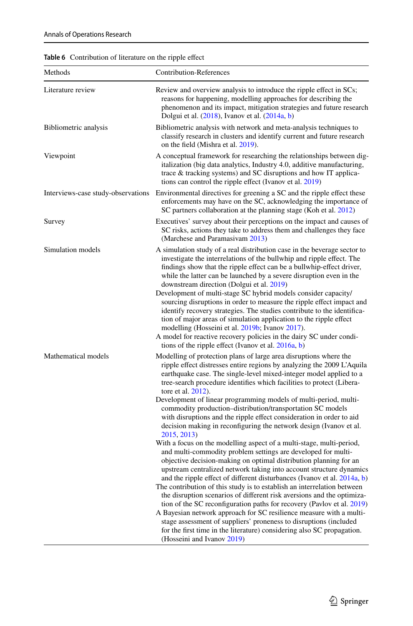<span id="page-30-0"></span>

| Methods                            | <b>Contribution-References</b>                                                                                                                                                                                                                                                                                                                                                                                                                                                                                                                                                                                                                                                                                                                                                                                                                                                                                                                                                                                                                                                                                                                                                                                                                                                                                                                                                                                                                                                                                             |
|------------------------------------|----------------------------------------------------------------------------------------------------------------------------------------------------------------------------------------------------------------------------------------------------------------------------------------------------------------------------------------------------------------------------------------------------------------------------------------------------------------------------------------------------------------------------------------------------------------------------------------------------------------------------------------------------------------------------------------------------------------------------------------------------------------------------------------------------------------------------------------------------------------------------------------------------------------------------------------------------------------------------------------------------------------------------------------------------------------------------------------------------------------------------------------------------------------------------------------------------------------------------------------------------------------------------------------------------------------------------------------------------------------------------------------------------------------------------------------------------------------------------------------------------------------------------|
| Literature review                  | Review and overview analysis to introduce the ripple effect in SCs;<br>reasons for happening, modelling approaches for describing the<br>phenomenon and its impact, mitigation strategies and future research<br>Dolgui et al. (2018), Ivanov et al. (2014a, b)                                                                                                                                                                                                                                                                                                                                                                                                                                                                                                                                                                                                                                                                                                                                                                                                                                                                                                                                                                                                                                                                                                                                                                                                                                                            |
| Bibliometric analysis              | Bibliometric analysis with network and meta-analysis techniques to<br>classify research in clusters and identify current and future research<br>on the field (Mishra et al. 2019).                                                                                                                                                                                                                                                                                                                                                                                                                                                                                                                                                                                                                                                                                                                                                                                                                                                                                                                                                                                                                                                                                                                                                                                                                                                                                                                                         |
| Viewpoint                          | A conceptual framework for researching the relationships between dig-<br>italization (big data analytics, Industry 4.0, additive manufacturing,<br>trace & tracking systems) and SC disruptions and how IT applica-<br>tions can control the ripple effect (Ivanov et al. 2019)                                                                                                                                                                                                                                                                                                                                                                                                                                                                                                                                                                                                                                                                                                                                                                                                                                                                                                                                                                                                                                                                                                                                                                                                                                            |
| Interviews-case study-observations | Environmental directives for greening a SC and the ripple effect these<br>enforcements may have on the SC, acknowledging the importance of<br>SC partners collaboration at the planning stage (Koh et al. 2012)                                                                                                                                                                                                                                                                                                                                                                                                                                                                                                                                                                                                                                                                                                                                                                                                                                                                                                                                                                                                                                                                                                                                                                                                                                                                                                            |
| Survey                             | Executives' survey about their perceptions on the impact and causes of<br>SC risks, actions they take to address them and challenges they face<br>(Marchese and Paramasivam 2013)                                                                                                                                                                                                                                                                                                                                                                                                                                                                                                                                                                                                                                                                                                                                                                                                                                                                                                                                                                                                                                                                                                                                                                                                                                                                                                                                          |
| Simulation models                  | A simulation study of a real distribution case in the beverage sector to<br>investigate the interrelations of the bullwhip and ripple effect. The<br>findings show that the ripple effect can be a bullwhip-effect driver,<br>while the latter can be launched by a severe disruption even in the<br>downstream direction (Dolgui et al. 2019)<br>Development of multi-stage SC hybrid models consider capacity/<br>sourcing disruptions in order to measure the ripple effect impact and<br>identify recovery strategies. The studies contribute to the identifica-<br>tion of major areas of simulation application to the ripple effect<br>modelling (Hosseini et al. 2019b; Ivanov 2017).<br>A model for reactive recovery policies in the dairy SC under condi-                                                                                                                                                                                                                                                                                                                                                                                                                                                                                                                                                                                                                                                                                                                                                       |
| Mathematical models                | tions of the ripple effect (Ivanov et al. 2016a, b)<br>Modelling of protection plans of large area disruptions where the<br>ripple effect distresses entire regions by analyzing the 2009 L'Aquila<br>earthquake case. The single-level mixed-integer model applied to a<br>tree-search procedure identifies which facilities to protect (Libera-<br>tore et al. 2012).<br>Development of linear programming models of multi-period, multi-<br>commodity production-distribution/transportation SC models<br>with disruptions and the ripple effect consideration in order to aid<br>decision making in reconfiguring the network design (Ivanov et al.<br>2015, 2013)<br>With a focus on the modelling aspect of a multi-stage, multi-period,<br>and multi-commodity problem settings are developed for multi-<br>objective decision-making on optimal distribution planning for an<br>upstream centralized network taking into account structure dynamics<br>and the ripple effect of different disturbances (Ivanov et al. 2014a, b)<br>The contribution of this study is to establish an interrelation between<br>the disruption scenarios of different risk aversions and the optimiza-<br>tion of the SC reconfiguration paths for recovery (Pavlov et al. 2019)<br>A Bayesian network approach for SC resilience measure with a multi-<br>stage assessment of suppliers' proneness to disruptions (included<br>for the first time in the literature) considering also SC propagation.<br>(Hosseini and Ivanov 2019) |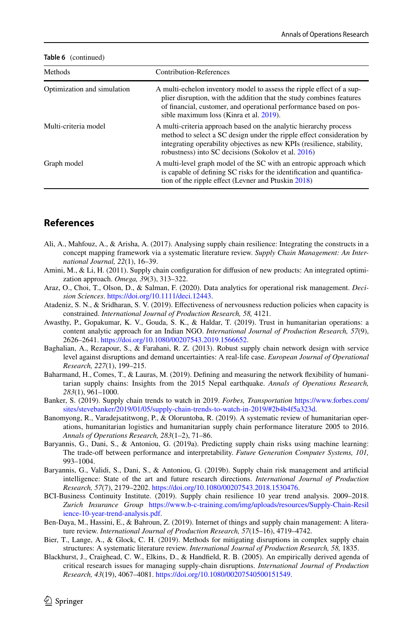| Methods                     | Contribution-References                                                                                                                                                                                                                                                     |
|-----------------------------|-----------------------------------------------------------------------------------------------------------------------------------------------------------------------------------------------------------------------------------------------------------------------------|
| Optimization and simulation | A multi-echelon inventory model to assess the ripple effect of a sup-<br>plier disruption, with the addition that the study combines features<br>of financial, customer, and operational performance based on pos-<br>sible maximum loss (Kinra et al. 2019).               |
| Multi-criteria model        | A multi-criteria approach based on the analytic hierarchy process<br>method to select a SC design under the ripple effect consideration by<br>integrating operability objectives as new KPIs (resilience, stability,<br>robustness) into SC decisions (Sokolov et al. 2016) |
| Graph model                 | A multi-level graph model of the SC with an entropic approach which<br>is capable of defining SC risks for the identification and quantifica-<br>tion of the ripple effect (Levner and Ptuskin 2018)                                                                        |

#### **Table 6** (continued)

## **References**

- <span id="page-31-4"></span>Ali, A., Mahfouz, A., & Arisha, A. (2017). Analysing supply chain resilience: Integrating the constructs in a concept mapping framework via a systematic literature review. *Supply Chain Management: An International Journal, 22*(1), 16–39.
- <span id="page-31-12"></span>Amini, M., & Li, H. (2011). Supply chain configuration for diffusion of new products: An integrated optimization approach. *Omega, 39*(3), 313–322.
- <span id="page-31-3"></span>Araz, O., Choi, T., Olson, D., & Salman, F. (2020). Data analytics for operational risk management. *Decision Sciences*. [https://doi.org/10.1111/deci.12443.](https://doi.org/10.1111/deci.12443)
- <span id="page-31-9"></span>Atadeniz, S. N., & Sridharan, S. V. (2019). Efectiveness of nervousness reduction policies when capacity is constrained. *International Journal of Production Research, 58,* 4121.
- <span id="page-31-14"></span>Awasthy, P., Gopakumar, K. V., Gouda, S. K., & Haldar, T. (2019). Trust in humanitarian operations: a content analytic approach for an Indian NGO. *International Journal of Production Research, 57*(9), 2626–2641. [https://doi.org/10.1080/00207543.2019.1566652.](https://doi.org/10.1080/00207543.2019.1566652)
- <span id="page-31-8"></span>Baghalian, A., Rezapour, S., & Farahani, R. Z. (2013). Robust supply chain network design with service level against disruptions and demand uncertainties: A real-life case. *European Journal of Operational Research, 227*(1), 199–215.
- <span id="page-31-11"></span>Baharmand, H., Comes, T., & Lauras, M. (2019). Defning and measuring the network fexibility of humanitarian supply chains: Insights from the 2015 Nepal earthquake. *Annals of Operations Research, 283*(1), 961–1000.
- <span id="page-31-2"></span>Banker, S. (2019). Supply chain trends to watch in 2019. *Forbes, Transportation* [https://www.forbes.com/](https://www.forbes.com/sites/stevebanker/2019/01/05/supply-chain-trends-to-watch-in-2019/#2b4b4f5a323d) [sites/stevebanker/2019/01/05/supply-chain-trends-to-watch-in-2019/#2b4b4f5a323d.](https://www.forbes.com/sites/stevebanker/2019/01/05/supply-chain-trends-to-watch-in-2019/#2b4b4f5a323d)
- <span id="page-31-10"></span>Banomyong, R., Varadejsatitwong, P., & Oloruntoba, R. (2019). A systematic review of humanitarian operations, humanitarian logistics and humanitarian supply chain performance literature 2005 to 2016. *Annals of Operations Research, 283*(1–2), 71–86.
- <span id="page-31-6"></span>Baryannis, G., Dani, S., & Antoniou, G. (2019a). Predicting supply chain risks using machine learning: The trade-of between performance and interpretability. *Future Generation Computer Systems, 101,* 993–1004.
- <span id="page-31-7"></span>Baryannis, G., Validi, S., Dani, S., & Antoniou, G. (2019b). Supply chain risk management and artifcial intelligence: State of the art and future research directions. *International Journal of Production Research, 57*(7), 2179–2202. <https://doi.org/10.1080/00207543.2018.1530476>.
- <span id="page-31-1"></span>BCI-Business Continuity Institute. (2019). Supply chain resilience 10 year trend analysis. 2009–2018. *Zurich Insurance Group* [https://www.b-c-training.com/img/uploads/resources/Supply-Chain-Resil](https://www.b-c-training.com/img/uploads/resources/Supply-Chain-Resilience-10-year-trend-analysis.pdf) [ience-10-year-trend-analysis.pdf.](https://www.b-c-training.com/img/uploads/resources/Supply-Chain-Resilience-10-year-trend-analysis.pdf)
- <span id="page-31-13"></span>Ben-Daya, M., Hassini, E., & Bahroun, Z. (2019). Internet of things and supply chain management: A literature review. *International Journal of Production Research, 57*(15–16), 4719–4742.
- <span id="page-31-5"></span>Bier, T., Lange, A., & Glock, C. H. (2019). Methods for mitigating disruptions in complex supply chain structures: A systematic literature review. *International Journal of Production Research, 58,* 1835.
- <span id="page-31-0"></span>Blackhurst, J., Craighead, C. W., Elkins, D., & Handfeld, R. B. (2005). An empirically derived agenda of critical research issues for managing supply-chain disruptions. *International Journal of Production Research, 43*(19), 4067–4081. <https://doi.org/10.1080/00207540500151549>.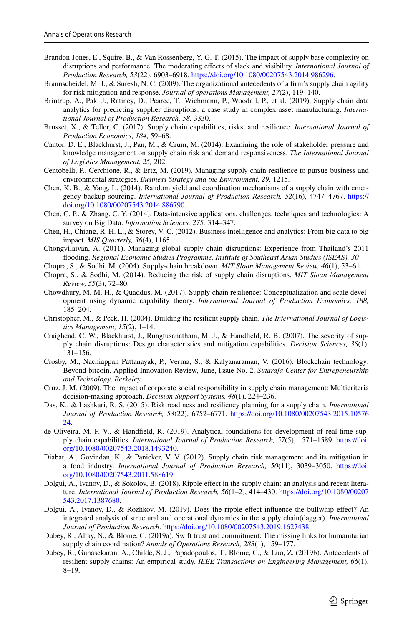- <span id="page-32-11"></span>Brandon-Jones, E., Squire, B., & Van Rossenberg, Y. G. T. (2015). The impact of supply base complexity on disruptions and performance: The moderating efects of slack and visibility. *International Journal of Production Research, 53*(22), 6903–6918. <https://doi.org/10.1080/00207543.2014.986296>.
- <span id="page-32-7"></span>Braunscheidel, M. J., & Suresh, N. C. (2009). The organizational antecedents of a frm's supply chain agility for risk mitigation and response. *Journal of operations Management, 27*(2), 119–140.
- <span id="page-32-21"></span>Brintrup, A., Pak, J., Ratiney, D., Pearce, T., Wichmann, P., Woodall, P., et al. (2019). Supply chain data analytics for predicting supplier disruptions: a case study in complex asset manufacturing. *International Journal of Production Research, 58,* 3330.
- <span id="page-32-13"></span>Brusset, X., & Teller, C. (2017). Supply chain capabilities, risks, and resilience. *International Journal of Production Economics, 184,* 59–68.
- <span id="page-32-15"></span>Cantor, D. E., Blackhurst, J., Pan, M., & Crum, M. (2014). Examining the role of stakeholder pressure and knowledge management on supply chain risk and demand responsiveness. *The International Journal of Logistics Management, 25,* 202.
- <span id="page-32-4"></span>Centobelli, P., Cerchione, R., & Ertz, M. (2019). Managing supply chain resilience to pursue business and environmental strategies. *Business Strategy and the Environment, 29,* 1215.
- <span id="page-32-14"></span>Chen, K. B., & Yang, L. (2014). Random yield and coordination mechanisms of a supply chain with emergency backup sourcing. *International Journal of Production Research, 52*(16), 4747–4767. [https://](https://doi.org/10.1080/00207543.2014.886790) [doi.org/10.1080/00207543.2014.886790](https://doi.org/10.1080/00207543.2014.886790).
- <span id="page-32-19"></span>Chen, C. P., & Zhang, C. Y. (2014). Data-intensive applications, challenges, techniques and technologies: A survey on Big Data. *Information Sciences, 275,* 314–347.
- <span id="page-32-20"></span>Chen, H., Chiang, R. H. L., & Storey, V. C. (2012). Business intelligence and analytics: From big data to big impact. *MIS Quarterly, 36*(4), 1165.
- <span id="page-32-0"></span>Chongvilaivan, A. (2011). Managing global supply chain disruptions: Experience from Thailand's 2011 fooding. *Regional Economic Studies Programme, Institute of Southeast Asian Studies (ISEAS), 30*
- <span id="page-32-5"></span>Chopra, S., & Sodhi, M. (2004). Supply-chain breakdown. *MIT Sloan Management Review, 46*(1), 53–61.
- <span id="page-32-9"></span>Chopra, S., & Sodhi, M. (2014). Reducing the risk of supply chain disruptions. *MIT Sloan Management Review, 55*(3), 72–80.
- <span id="page-32-12"></span>Chowdhury, M. M. H., & Quaddus, M. (2017). Supply chain resilience: Conceptualization and scale development using dynamic capability theory. *International Journal of Production Economics, 188,* 185–204.
- <span id="page-32-3"></span>Christopher, M., & Peck, H. (2004). Building the resilient supply chain. *The International Journal of Logistics Management, 15*(2), 1–14.
- <span id="page-32-6"></span>Craighead, C. W., Blackhurst, J., Rungtusanatham, M. J., & Handfeld, R. B. (2007). The severity of supply chain disruptions: Design characteristics and mitigation capabilities. *Decision Sciences, 38*(1), 131–156.
- <span id="page-32-22"></span>Crosby, M., Nachiappan Pattanayak, P., Verma, S., & Kalyanaraman, V. (2016). Blockchain technology: Beyond bitcoin. Applied Innovation Review, June, Issue No. 2. *Sutardja Center for Entrepeneurship and Technology, Berkeley*.
- <span id="page-32-17"></span>Cruz, J. M. (2009). The impact of corporate social responsibility in supply chain management: Multicriteria decision-making approach. *Decision Support Systems, 48*(1), 224–236.
- <span id="page-32-16"></span>Das, K., & Lashkari, R. S. (2015). Risk readiness and resiliency planning for a supply chain. *International Journal of Production Research, 53*(22), 6752–6771. [https://doi.org/10.1080/00207543.2015.10576](https://doi.org/10.1080/00207543.2015.1057624) [24](https://doi.org/10.1080/00207543.2015.1057624).
- <span id="page-32-23"></span>de Oliveira, M. P. V., & Handfeld, R. (2019). Analytical foundations for development of real-time supply chain capabilities. *International Journal of Production Research, 57*(5), 1571–1589. [https://doi.](https://doi.org/10.1080/00207543.2018.1493240) [org/10.1080/00207543.2018.1493240](https://doi.org/10.1080/00207543.2018.1493240).
- <span id="page-32-18"></span>Diabat, A., Govindan, K., & Panicker, V. V. (2012). Supply chain risk management and its mitigation in a food industry. *International Journal of Production Research, 50*(11), 3039–3050. [https://doi.](https://doi.org/10.1080/00207543.2011.588619) [org/10.1080/00207543.2011.588619](https://doi.org/10.1080/00207543.2011.588619).
- <span id="page-32-8"></span>Dolgui, A., Ivanov, D., & Sokolov, B. (2018). Ripple efect in the supply chain: an analysis and recent literature. *International Journal of Production Research, 56*(1–2), 414–430. [https://doi.org/10.1080/00207](https://doi.org/10.1080/00207543.2017.1387680) [543.2017.1387680](https://doi.org/10.1080/00207543.2017.1387680).
- <span id="page-32-10"></span>Dolgui, A., Ivanov, D., & Rozhkov, M. (2019). Does the ripple effect influence the bullwhip effect? An integrated analysis of structural and operational dynamics in the supply chain(dagger). *International Journal of Production Research*. [https://doi.org/10.1080/00207543.2019.1627438.](https://doi.org/10.1080/00207543.2019.1627438)
- <span id="page-32-1"></span>Dubey, R., Altay, N., & Blome, C. (2019a). Swift trust and commitment: The missing links for humanitarian supply chain coordination? *Annals of Operations Research, 283*(1), 159–177.
- <span id="page-32-2"></span>Dubey, R., Gunasekaran, A., Childe, S. J., Papadopoulos, T., Blome, C., & Luo, Z. (2019b). Antecedents of resilient supply chains: An empirical study. *IEEE Transactions on Engineering Management, 66*(1), 8–19.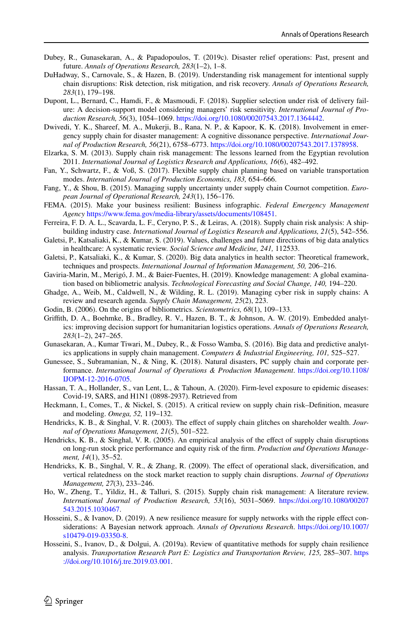- <span id="page-33-1"></span>Dubey, R., Gunasekaran, A., & Papadopoulos, T. (2019c). Disaster relief operations: Past, present and future. *Annals of Operations Research, 283*(1–2), 1–8.
- <span id="page-33-18"></span>DuHadway, S., Carnovale, S., & Hazen, B. (2019). Understanding risk management for intentional supply chain disruptions: Risk detection, risk mitigation, and risk recovery. *Annals of Operations Research, 283*(1), 179–198.
- <span id="page-33-15"></span>Dupont, L., Bernard, C., Hamdi, F., & Masmoudi, F. (2018). Supplier selection under risk of delivery failure: A decision-support model considering managers' risk sensitivity. *International Journal of Production Research, 56*(3), 1054–1069. <https://doi.org/10.1080/00207543.2017.1364442>.
- <span id="page-33-12"></span>Dwivedi, Y. K., Shareef, M. A., Mukerji, B., Rana, N. P., & Kapoor, K. K. (2018). Involvement in emergency supply chain for disaster management: A cognitive dissonance perspective. *International Journal of Production Research, 56*(21), 6758–6773. [https://doi.org/10.1080/00207543.2017.1378958.](https://doi.org/10.1080/00207543.2017.1378958)
- <span id="page-33-13"></span>Elzarka, S. M. (2013). Supply chain risk management: The lessons learned from the Egyptian revolution 2011. *International Journal of Logistics Research and Applications, 16*(6), 482–492.
- <span id="page-33-16"></span>Fan, Y., Schwartz, F., & Voß, S. (2017). Flexible supply chain planning based on variable transportation modes. *International Journal of Production Economics, 183,* 654–666.
- <span id="page-33-20"></span>Fang, Y., & Shou, B. (2015). Managing supply uncertainty under supply chain Cournot competition. *European Journal of Operational Research, 243*(1), 156–176.
- <span id="page-33-0"></span>FEMA. (2015). Make your business resilient: Business infographic. *Federal Emergency Management Agency* [https://www.fema.gov/media-library/assets/documents/108451.](https://www.fema.gov/media-library/assets/documents/108451)
- <span id="page-33-3"></span>Ferreira, F. D. A. L., Scavarda, L. F., Ceryno, P. S., & Leiras, A. (2018). Supply chain risk analysis: A shipbuilding industry case. *International Journal of Logistics Research and Applications, 21*(5), 542–556.
- <span id="page-33-23"></span>Galetsi, P., Katsaliaki, K., & Kumar, S. (2019). Values, challenges and future directions of big data analytics in healthcare: A systematic review. *Social Science and Medicine, 241,* 112533.
- <span id="page-33-24"></span>Galetsi, P., Katsaliaki, K., & Kumar, S. (2020). Big data analytics in health sector: Theoretical framework, techniques and prospects. *International Journal of Information Management, 50,* 206–216.
- <span id="page-33-5"></span>Gaviria-Marin, M., Merigó, J. M., & Baier-Fuentes, H. (2019). Knowledge management: A global examination based on bibliometric analysis. *Technological Forecasting and Social Change, 140,* 194–220.
- <span id="page-33-17"></span>Ghadge, A., Weib, M., Caldwell, N., & Wilding, R. L. (2019). Managing cyber risk in supply chains: A review and research agenda. *Supply Chain Management, 25*(2), 223.
- <span id="page-33-6"></span>Godin, B. (2006). On the origins of bibliometrics. *Scientometrics, 68*(1), 109–133.
- <span id="page-33-14"></span>Grifth, D. A., Boehmke, B., Bradley, R. V., Hazen, B. T., & Johnson, A. W. (2019). Embedded analytics: improving decision support for humanitarian logistics operations. *Annals of Operations Research, 283*(1–2), 247–265.
- <span id="page-33-21"></span>Gunasekaran, A., Kumar Tiwari, M., Dubey, R., & Fosso Wamba, S. (2016). Big data and predictive analytics applications in supply chain management. *Computers & Industrial Engineering, 101,* 525–527.
- <span id="page-33-11"></span>Gunessee, S., Subramanian, N., & Ning, K. (2018). Natural disasters, PC supply chain and corporate performance. *International Journal of Operations & Production Management*. [https://doi.org/10.1108/](https://doi.org/10.1108/IJOPM-12-2016-0705) [IJOPM-12-2016-0705](https://doi.org/10.1108/IJOPM-12-2016-0705).
- <span id="page-33-22"></span>Hassan, T. A., Hollander, S., van Lent, L., & Tahoun, A. (2020). Firm-level exposure to epidemic diseases: Covid-19, SARS, and H1N1 (0898-2937). Retrieved from
- <span id="page-33-8"></span>Heckmann, I., Comes, T., & Nickel, S. (2015). A critical review on supply chain risk–Defnition, measure and modeling. *Omega, 52,* 119–132.
- <span id="page-33-10"></span>Hendricks, K. B., & Singhal, V. R. (2003). The efect of supply chain glitches on shareholder wealth. *Journal of Operations Management, 21*(5), 501–522.
- <span id="page-33-7"></span>Hendricks, K. B., & Singhal, V. R. (2005). An empirical analysis of the efect of supply chain disruptions on long-run stock price performance and equity risk of the frm. *Production and Operations Management, 14*(1), 35–52.
- <span id="page-33-9"></span>Hendricks, K. B., Singhal, V. R., & Zhang, R. (2009). The effect of operational slack, diversification, and vertical relatedness on the stock market reaction to supply chain disruptions. *Journal of Operations Management, 27*(3), 233–246.
- <span id="page-33-2"></span>Ho, W., Zheng, T., Yildiz, H., & Talluri, S. (2015). Supply chain risk management: A literature review. *International Journal of Production Research, 53*(16), 5031–5069. [https://doi.org/10.1080/00207](https://doi.org/10.1080/00207543.2015.1030467) [543.2015.1030467](https://doi.org/10.1080/00207543.2015.1030467).
- <span id="page-33-19"></span>Hosseini, S., & Ivanov, D. (2019). A new resilience measure for supply networks with the ripple effect considerations: A Bayesian network approach. *Annals of Operations Research*. [https://doi.org/10.1007/](https://doi.org/10.1007/s10479-019-03350-8) [s10479-019-03350-8](https://doi.org/10.1007/s10479-019-03350-8).
- <span id="page-33-4"></span>Hosseini, S., Ivanov, D., & Dolgui, A. (2019a). Review of quantitative methods for supply chain resilience analysis. *Transportation Research Part E: Logistics and Transportation Review, 125,* 285–307. [https](https://doi.org/10.1016/j.tre.2019.03.001) [://doi.org/10.1016/j.tre.2019.03.001.](https://doi.org/10.1016/j.tre.2019.03.001)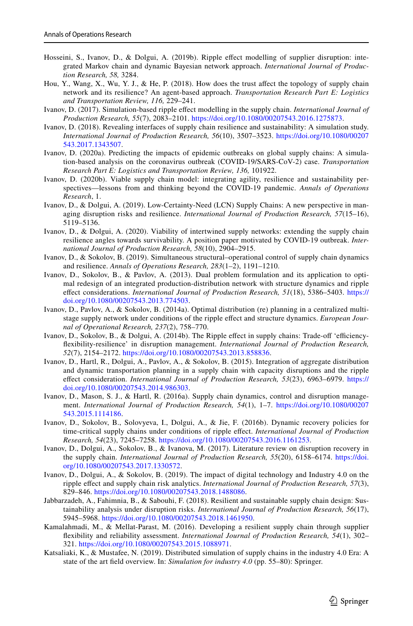- <span id="page-34-16"></span>Hosseini, S., Ivanov, D., & Dolgui, A. (2019b). Ripple effect modelling of supplier disruption: integrated Markov chain and dynamic Bayesian network approach. *International Journal of Production Research, 58,* 3284.
- <span id="page-34-13"></span>Hou, Y., Wang, X., Wu, Y. J., & He, P. (2018). How does the trust affect the topology of supply chain network and its resilience? An agent-based approach. *Transportation Research Part E: Logistics and Transportation Review, 116,* 229–241.
- <span id="page-34-6"></span>Ivanov, D. (2017). Simulation-based ripple efect modelling in the supply chain. *International Journal of Production Research, 55*(7), 2083–2101. <https://doi.org/10.1080/00207543.2016.1275873>.
- <span id="page-34-19"></span>Ivanov, D. (2018). Revealing interfaces of supply chain resilience and sustainability: A simulation study. *International Journal of Production Research, 56*(10), 3507–3523. [https://doi.org/10.1080/00207](https://doi.org/10.1080/00207543.2017.1343507) [543.2017.1343507](https://doi.org/10.1080/00207543.2017.1343507).
- <span id="page-34-8"></span>Ivanov, D. (2020a). Predicting the impacts of epidemic outbreaks on global supply chains: A simulation-based analysis on the coronavirus outbreak (COVID-19/SARS-CoV-2) case. *Transportation Research Part E: Logistics and Transportation Review, 136,* 101922.
- <span id="page-34-11"></span>Ivanov, D. (2020b). Viable supply chain model: integrating agility, resilience and sustainability perspectives—lessons from and thinking beyond the COVID-19 pandemic. *Annals of Operations Research*, 1.
- <span id="page-34-5"></span>Ivanov, D., & Dolgui, A. (2019). Low-Certainty-Need (LCN) Supply Chains: A new perspective in managing disruption risks and resilience. *International Journal of Production Research, 57*(15–16), 5119–5136.
- <span id="page-34-18"></span>Ivanov, D., & Dolgui, A. (2020). Viability of intertwined supply networks: extending the supply chain resilience angles towards survivability. A position paper motivated by COVID-19 outbreak. *International Journal of Production Research, 58*(10), 2904–2915.
- <span id="page-34-12"></span>Ivanov, D., & Sokolov, B. (2019). Simultaneous structural–operational control of supply chain dynamics and resilience. *Annals of Operations Research, 283*(1–2), 1191–1210.
- <span id="page-34-15"></span>Ivanov, D., Sokolov, B., & Pavlov, A. (2013). Dual problem formulation and its application to optimal redesign of an integrated production-distribution network with structure dynamics and ripple efect considerations. *International Journal of Production Research, 51*(18), 5386–5403. [https://](https://doi.org/10.1080/00207543.2013.774503) [doi.org/10.1080/00207543.2013.774503.](https://doi.org/10.1080/00207543.2013.774503)
- <span id="page-34-0"></span>Ivanov, D., Pavlov, A., & Sokolov, B. (2014a). Optimal distribution (re) planning in a centralized multistage supply network under conditions of the ripple efect and structure dynamics. *European Journal of Operational Research, 237*(2), 758–770.
- <span id="page-34-1"></span>Ivanov, D., Sokolov, B., & Dolgui, A. (2014b). The Ripple effect in supply chains: Trade-off 'efficiencyfexibility-resilience' in disruption management. *International Journal of Production Research, 52*(7), 2154–2172. <https://doi.org/10.1080/00207543.2013.858836>.
- <span id="page-34-14"></span>Ivanov, D., Hartl, R., Dolgui, A., Pavlov, A., & Sokolov, B. (2015). Integration of aggregate distribution and dynamic transportation planning in a supply chain with capacity disruptions and the ripple efect consideration. *International Journal of Production Research, 53*(23), 6963–6979. [https://](https://doi.org/10.1080/00207543.2014.986303) [doi.org/10.1080/00207543.2014.986303.](https://doi.org/10.1080/00207543.2014.986303)
- <span id="page-34-2"></span>Ivanov, D., Mason, S. J., & Hartl, R. (2016a). Supply chain dynamics, control and disruption management. *International Journal of Production Research, 54*(1), 1–7. [https://doi.org/10.1080/00207](https://doi.org/10.1080/00207543.2015.1114186) [543.2015.1114186](https://doi.org/10.1080/00207543.2015.1114186).
- <span id="page-34-3"></span>Ivanov, D., Sokolov, B., Solovyeva, I., Dolgui, A., & Jie, F. (2016b). Dynamic recovery policies for time-critical supply chains under conditions of ripple efect. *International Journal of Production Research, 54*(23), 7245–7258. [https://doi.org/10.1080/00207543.2016.1161253.](https://doi.org/10.1080/00207543.2016.1161253)
- <span id="page-34-7"></span>Ivanov, D., Dolgui, A., Sokolov, B., & Ivanova, M. (2017). Literature review on disruption recovery in the supply chain. *International Journal of Production Research, 55*(20), 6158–6174. [https://doi.](https://doi.org/10.1080/00207543.2017.1330572) [org/10.1080/00207543.2017.1330572](https://doi.org/10.1080/00207543.2017.1330572).
- <span id="page-34-4"></span>Ivanov, D., Dolgui, A., & Sokolov, B. (2019). The impact of digital technology and Industry 4.0 on the ripple efect and supply chain risk analytics. *International Journal of Production Research, 57*(3), 829–846. [https://doi.org/10.1080/00207543.2018.1488086.](https://doi.org/10.1080/00207543.2018.1488086)
- <span id="page-34-10"></span>Jabbarzadeh, A., Fahimnia, B., & Sabouhi, F. (2018). Resilient and sustainable supply chain design: Sustainability analysis under disruption risks. *International Journal of Production Research, 56*(17), 5945–5968. <https://doi.org/10.1080/00207543.2018.1461950>.
- <span id="page-34-9"></span>Kamalahmadi, M., & Mellat-Parast, M. (2016). Developing a resilient supply chain through supplier fexibility and reliability assessment. *International Journal of Production Research, 54*(1), 302– 321. <https://doi.org/10.1080/00207543.2015.1088971>.
- <span id="page-34-17"></span>Katsaliaki, K., & Mustafee, N. (2019). Distributed simulation of supply chains in the industry 4.0 Era: A state of the art feld overview. In: *Simulation for industry 4.0* (pp. 55–80): Springer.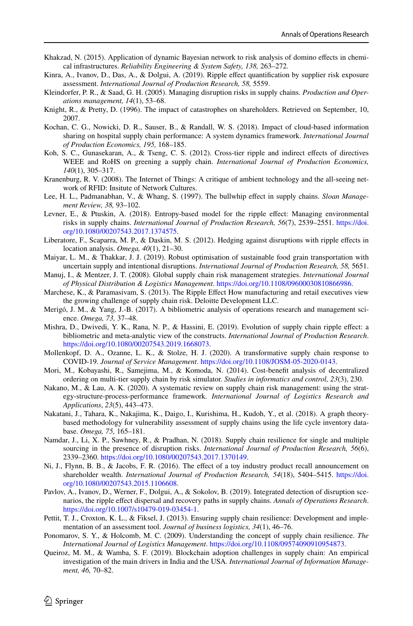- <span id="page-35-12"></span>Khakzad, N. (2015). Application of dynamic Bayesian network to risk analysis of domino efects in chemical infrastructures. *Reliability Engineering & System Safety, 138,* 263–272.
- <span id="page-35-18"></span>Kinra, A., Ivanov, D., Das, A., & Dolgui, A. (2019). Ripple efect quantifcation by supplier risk exposure assessment. *International Journal of Production Research, 58,* 5559.
- <span id="page-35-1"></span>Kleindorfer, P. R., & Saad, G. H. (2005). Managing disruption risks in supply chains. *Production and Operations management, 14*(1), 53–68.
- <span id="page-35-13"></span>Knight, R., & Pretty, D. (1996). The impact of catastrophes on shareholders. Retrieved on September, 10, 2007.
- <span id="page-35-16"></span>Kochan, C. G., Nowicki, D. R., Sauser, B., & Randall, W. S. (2018). Impact of cloud-based information sharing on hospital supply chain performance: A system dynamics framework. *International Journal of Production Economics, 195,* 168–185.
- <span id="page-35-17"></span>Koh, S. C., Gunasekaran, A., & Tseng, C. S. (2012). Cross-tier ripple and indirect efects of directives WEEE and RoHS on greening a supply chain. *International Journal of Production Economics, 140*(1), 305–317.
- <span id="page-35-22"></span>Kranenburg, R. V. (2008). The Internet of Things: A critique of ambient technology and the all-seeing network of RFID: Insitute of Network Cultures.
- <span id="page-35-7"></span>Lee, H. L., Padmanabhan, V., & Whang, S. (1997). The bullwhip efect in supply chains. *Sloan Management Review, 38,* 93–102.
- <span id="page-35-11"></span>Levner, E., & Ptuskin, A. (2018). Entropy-based model for the ripple efect: Managing environmental risks in supply chains. *International Journal of Production Research, 56*(7), 2539–2551. [https://doi.](https://doi.org/10.1080/00207543.2017.1374575) [org/10.1080/00207543.2017.1374575](https://doi.org/10.1080/00207543.2017.1374575).
- <span id="page-35-10"></span>Liberatore, F., Scaparra, M. P., & Daskin, M. S. (2012). Hedging against disruptions with ripple efects in location analysis. *Omega, 40*(1), 21–30.
- <span id="page-35-9"></span>Maiyar, L. M., & Thakkar, J. J. (2019). Robust optimisation of sustainable food grain transportation with uncertain supply and intentional disruptions. *International Journal of Production Research, 58,* 5651.
- <span id="page-35-5"></span>Manuj, I., & Mentzer, J. T. (2008). Global supply chain risk management strategies. *International Journal of Physical Distribution & Logistics Management*. <https://doi.org/10.1108/09600030810866986>.
- <span id="page-35-0"></span>Marchese, K., & Paramasivam, S. (2013). The Ripple Effect How manufacturing and retail executives view the growing challenge of supply chain risk. Deloitte Development LLC.
- <span id="page-35-3"></span>Merigó, J. M., & Yang, J.-B. (2017). A bibliometric analysis of operations research and management science. *Omega, 73,* 37–48.
- <span id="page-35-24"></span>Mishra, D., Dwivedi, Y. K., Rana, N. P., & Hassini, E. (2019). Evolution of supply chain ripple efect: a bibliometric and meta-analytic view of the constructs. *International Journal of Production Research*. [https://doi.org/10.1080/00207543.2019.1668073.](https://doi.org/10.1080/00207543.2019.1668073)
- <span id="page-35-23"></span>Mollenkopf, D. A., Ozanne, L. K., & Stolze, H. J. (2020). A transformative supply chain response to COVID-19. *Journal of Service Management*. <https://doi.org/10.1108/JOSM-05-2020-0143>.
- <span id="page-35-21"></span>Mori, M., Kobayashi, R., Samejima, M., & Komoda, N. (2014). Cost-beneft analysis of decentralized ordering on multi-tier supply chain by risk simulator. *Studies in informatics and control, 23*(3), 230.
- <span id="page-35-2"></span>Nakano, M., & Lau, A. K. (2020). A systematic review on supply chain risk management: using the strategy-structure-process-performance framework. *International Journal of Logistics Research and Applications*, *23*(5), 443–473.
- <span id="page-35-15"></span>Nakatani, J., Tahara, K., Nakajima, K., Daigo, I., Kurishima, H., Kudoh, Y., et al. (2018). A graph theorybased methodology for vulnerability assessment of supply chains using the life cycle inventory database. *Omega, 75,* 165–181.
- <span id="page-35-20"></span>Namdar, J., Li, X. P., Sawhney, R., & Pradhan, N. (2018). Supply chain resilience for single and multiple sourcing in the presence of disruption risks. *International Journal of Production Research, 56*(6), 2339–2360. [https://doi.org/10.1080/00207543.2017.1370149.](https://doi.org/10.1080/00207543.2017.1370149)
- <span id="page-35-8"></span>Ni, J., Flynn, B. B., & Jacobs, F. R. (2016). The efect of a toy industry product recall announcement on shareholder wealth. *International Journal of Production Research, 54*(18), 5404–5415. [https://doi.](https://doi.org/10.1080/00207543.2015.1106608) [org/10.1080/00207543.2015.1106608](https://doi.org/10.1080/00207543.2015.1106608).
- <span id="page-35-19"></span>Pavlov, A., Ivanov, D., Werner, F., Dolgui, A., & Sokolov, B. (2019). Integrated detection of disruption scenarios, the ripple efect dispersal and recovery paths in supply chains. *Annals of Operations Research*. [https://doi.org/10.1007/s10479-019-03454-1.](https://doi.org/10.1007/s10479-019-03454-1)
- <span id="page-35-14"></span>Pettit, T. J., Croxton, K. L., & Fiksel, J. (2013). Ensuring supply chain resilience: Development and implementation of an assessment tool. *Journal of business logistics, 34*(1), 46–76.
- <span id="page-35-4"></span>Ponomarov, S. Y., & Holcomb, M. C. (2009). Understanding the concept of supply chain resilience. *The International Journal of Logistics Management*. [https://doi.org/10.1108/09574090910954873.](https://doi.org/10.1108/09574090910954873)
- <span id="page-35-6"></span>Queiroz, M. M., & Wamba, S. F. (2019). Blockchain adoption challenges in supply chain: An empirical investigation of the main drivers in India and the USA. *International Journal of Information Management, 46,* 70–82.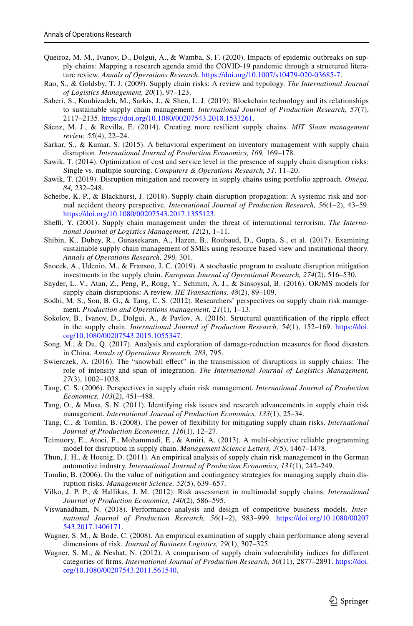- <span id="page-36-24"></span>Queiroz, M. M., Ivanov, D., Dolgui, A., & Wamba, S. F. (2020). Impacts of epidemic outbreaks on supply chains: Mapping a research agenda amid the COVID-19 pandemic through a structured literature review. *Annals of Operations Research*. <https://doi.org/10.1007/s10479-020-03685-7>.
- <span id="page-36-7"></span>Rao, S., & Goldsby, T. J. (2009). Supply chain risks: A review and typology. *The International Journal of Logistics Management, 20*(1), 97–123.
- <span id="page-36-4"></span>Saberi, S., Kouhizadeh, M., Sarkis, J., & Shen, L. J. (2019). Blockchain technology and its relationships to sustainable supply chain management. *International Journal of Production Research, 57*(7), 2117–2135. <https://doi.org/10.1080/00207543.2018.1533261>.
- <span id="page-36-0"></span>Sáenz, M. J., & Revilla, E. (2014). Creating more resilient supply chains. *MIT Sloan management review, 55*(4), 22–24.
- <span id="page-36-14"></span>Sarkar, S., & Kumar, S. (2015). A behavioral experiment on inventory management with supply chain disruption. *International Journal of Production Economics, 169,* 169–178.
- <span id="page-36-11"></span>Sawik, T. (2014). Optimization of cost and service level in the presence of supply chain disruption risks: Single vs. multiple sourcing. *Computers & Operations Research, 51,* 11–20.
- <span id="page-36-19"></span>Sawik, T. (2019). Disruption mitigation and recovery in supply chains using portfolio approach. *Omega, 84,* 232–248.
- <span id="page-36-12"></span>Scheibe, K. P., & Blackhurst, J. (2018). Supply chain disruption propagation: A systemic risk and normal accident theory perspective. *International Journal of Production Research, 56*(1–2), 43–59. [https://doi.org/10.1080/00207543.2017.1355123.](https://doi.org/10.1080/00207543.2017.1355123)
- <span id="page-36-13"></span>Sheffi, Y. (2001). Supply chain management under the threat of international terrorism. *The International Journal of Logistics Management, 12*(2), 1–11.
- <span id="page-36-23"></span>Shibin, K., Dubey, R., Gunasekaran, A., Hazen, B., Roubaud, D., Gupta, S., et al. (2017). Examining sustainable supply chain management of SMEs using resource based view and institutional theory. *Annals of Operations Research, 290,* 301.
- <span id="page-36-20"></span>Snoeck, A., Udenio, M., & Fransoo, J. C. (2019). A stochastic program to evaluate disruption mitigation investments in the supply chain. *European Journal of Operational Research, 274*(2), 516–530.
- <span id="page-36-5"></span>Snyder, L. V., Atan, Z., Peng, P., Rong, Y., Schmitt, A. J., & Sinsoysal, B. (2016). OR/MS models for supply chain disruptions: A review. *IIE Transactions, 48*(2), 89–109.
- <span id="page-36-6"></span>Sodhi, M. S., Son, B. G., & Tang, C. S. (2012). Researchers' perspectives on supply chain risk management. *Production and Operations management, 21*(1), 1–13.
- <span id="page-36-15"></span>Sokolov, B., Ivanov, D., Dolgui, A., & Pavlov, A. (2016). Structural quantifcation of the ripple efect in the supply chain. *International Journal of Production Research, 54*(1), 152–169. [https://doi.](https://doi.org/10.1080/00207543.2015.1055347) [org/10.1080/00207543.2015.1055347](https://doi.org/10.1080/00207543.2015.1055347).
- <span id="page-36-22"></span>Song, M., & Du, Q. (2017). Analysis and exploration of damage-reduction measures for food disasters in China. *Annals of Operations Research, 283,* 795.
- <span id="page-36-16"></span>Swierczek, A. (2016). The "snowball efect" in the transmission of disruptions in supply chains: The role of intensity and span of integration. *The International Journal of Logistics Management, 27*(3), 1002–1038.
- <span id="page-36-2"></span>Tang, C. S. (2006). Perspectives in supply chain risk management. *International Journal of Production Economics, 103*(2), 451–488.
- <span id="page-36-3"></span>Tang, O., & Musa, S. N. (2011). Identifying risk issues and research advancements in supply chain risk management. *International Journal of Production Economics, 133*(1), 25–34.
- <span id="page-36-8"></span>Tang, C., & Tomlin, B. (2008). The power of fexibility for mitigating supply chain risks. *International Journal of Production Economics, 116*(1), 12–27.
- <span id="page-36-21"></span>Teimuory, E., Atoei, F., Mohammadi, E., & Amiri, A. (2013). A multi-objective reliable programming model for disruption in supply chain. *Management Science Letters, 3*(5), 1467–1478.
- <span id="page-36-9"></span>Thun, J. H., & Hoenig, D. (2011). An empirical analysis of supply chain risk management in the German automotive industry. *International Journal of Production Economics, 131*(1), 242–249.
- <span id="page-36-1"></span>Tomlin, B. (2006). On the value of mitigation and contingency strategies for managing supply chain disruption risks. *Management Science, 52*(5), 639–657.
- <span id="page-36-10"></span>Vilko, J. P. P., & Hallikas, J. M. (2012). Risk assessment in multimodal supply chains. *International Journal of Production Economics, 140*(2), 586–595.
- <span id="page-36-25"></span>Viswanadham, N. (2018). Performance analysis and design of competitive business models. *International Journal of Production Research, 56*(1–2), 983–999. [https://doi.org/10.1080/00207](https://doi.org/10.1080/00207543.2017.1406171) [543.2017.1406171](https://doi.org/10.1080/00207543.2017.1406171).
- <span id="page-36-18"></span>Wagner, S. M., & Bode, C. (2008). An empirical examination of supply chain performance along several dimensions of risk. *Journal of Business Logistics, 29*(1), 307–325.
- <span id="page-36-17"></span>Wagner, S. M., & Neshat, N. (2012). A comparison of supply chain vulnerability indices for diferent categories of frms. *International Journal of Production Research, 50*(11), 2877–2891. [https://doi.](https://doi.org/10.1080/00207543.2011.561540) [org/10.1080/00207543.2011.561540.](https://doi.org/10.1080/00207543.2011.561540)